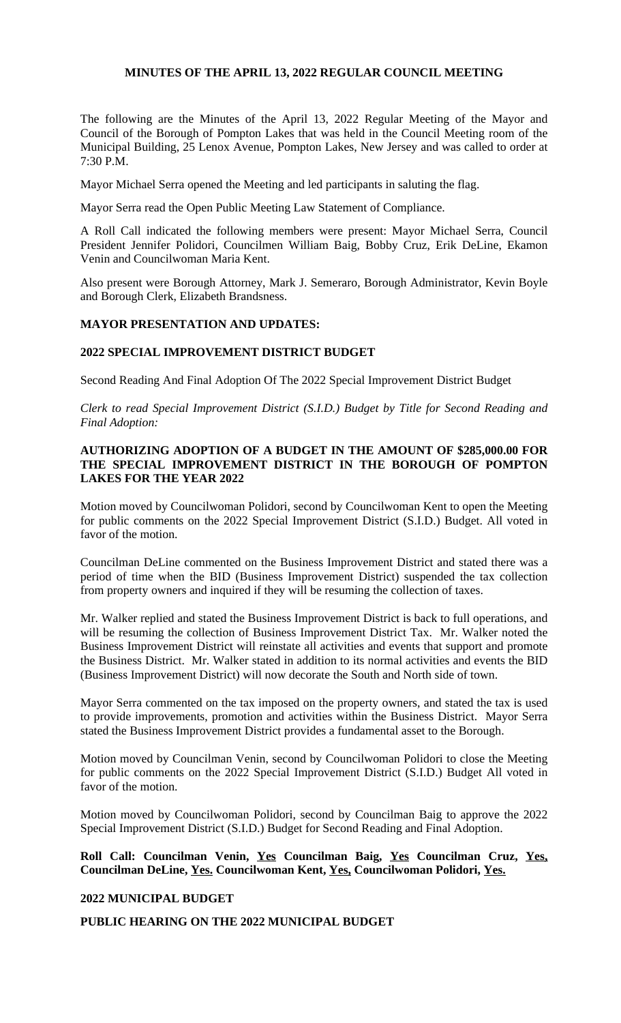## **MINUTES OF THE APRIL 13, 2022 REGULAR COUNCIL MEETING**

The following are the Minutes of the April 13, 2022 Regular Meeting of the Mayor and Council of the Borough of Pompton Lakes that was held in the Council Meeting room of the Municipal Building, 25 Lenox Avenue, Pompton Lakes, New Jersey and was called to order at 7:30 P.M.

Mayor Michael Serra opened the Meeting and led participants in saluting the flag.

Mayor Serra read the Open Public Meeting Law Statement of Compliance.

A Roll Call indicated the following members were present: Mayor Michael Serra, Council President Jennifer Polidori, Councilmen William Baig, Bobby Cruz, Erik DeLine, Ekamon Venin and Councilwoman Maria Kent.

Also present were Borough Attorney, Mark J. Semeraro, Borough Administrator, Kevin Boyle and Borough Clerk, Elizabeth Brandsness.

## **MAYOR PRESENTATION AND UPDATES:**

## **2022 SPECIAL IMPROVEMENT DISTRICT BUDGET**

Second Reading And Final Adoption Of The 2022 Special Improvement District Budget

*Clerk to read Special Improvement District (S.I.D.) Budget by Title for Second Reading and Final Adoption:*

## **AUTHORIZING ADOPTION OF A BUDGET IN THE AMOUNT OF \$285,000.00 FOR THE SPECIAL IMPROVEMENT DISTRICT IN THE BOROUGH OF POMPTON LAKES FOR THE YEAR 2022**

Motion moved by Councilwoman Polidori, second by Councilwoman Kent to open the Meeting for public comments on the 2022 Special Improvement District (S.I.D.) Budget. All voted in favor of the motion.

Councilman DeLine commented on the Business Improvement District and stated there was a period of time when the BID (Business Improvement District) suspended the tax collection from property owners and inquired if they will be resuming the collection of taxes.

Mr. Walker replied and stated the Business Improvement District is back to full operations, and will be resuming the collection of Business Improvement District Tax. Mr. Walker noted the Business Improvement District will reinstate all activities and events that support and promote the Business District. Mr. Walker stated in addition to its normal activities and events the BID (Business Improvement District) will now decorate the South and North side of town.

Mayor Serra commented on the tax imposed on the property owners, and stated the tax is used to provide improvements, promotion and activities within the Business District. Mayor Serra stated the Business Improvement District provides a fundamental asset to the Borough.

Motion moved by Councilman Venin, second by Councilwoman Polidori to close the Meeting for public comments on the 2022 Special Improvement District (S.I.D.) Budget All voted in favor of the motion.

Motion moved by Councilwoman Polidori, second by Councilman Baig to approve the 2022 Special Improvement District (S.I.D.) Budget for Second Reading and Final Adoption.

**Roll Call: Councilman Venin, Yes Councilman Baig, Yes Councilman Cruz, Yes, Councilman DeLine, Yes. Councilwoman Kent, Yes, Councilwoman Polidori, Yes.**

## **2022 MUNICIPAL BUDGET**

#### **PUBLIC HEARING ON THE 2022 MUNICIPAL BUDGET**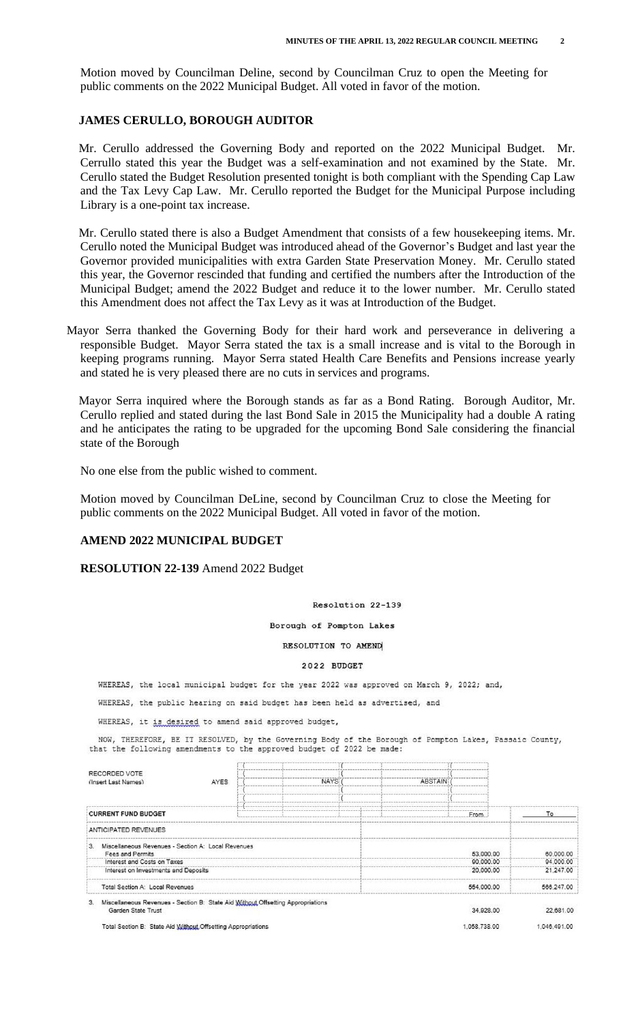Motion moved by Councilman Deline, second by Councilman Cruz to open the Meeting for public comments on the 2022 Municipal Budget. All voted in favor of the motion.

## **JAMES CERULLO, BOROUGH AUDITOR**

Mr. Cerullo addressed the Governing Body and reported on the 2022 Municipal Budget. Mr. Cerrullo stated this year the Budget was a self-examination and not examined by the State. Mr. Cerullo stated the Budget Resolution presented tonight is both compliant with the Spending Cap Law and the Tax Levy Cap Law. Mr. Cerullo reported the Budget for the Municipal Purpose including Library is a one-point tax increase.

Mr. Cerullo stated there is also a Budget Amendment that consists of a few housekeeping items. Mr. Cerullo noted the Municipal Budget was introduced ahead of the Governor's Budget and last year the Governor provided municipalities with extra Garden State Preservation Money. Mr. Cerullo stated this year, the Governor rescinded that funding and certified the numbers after the Introduction of the Municipal Budget; amend the 2022 Budget and reduce it to the lower number. Mr. Cerullo stated this Amendment does not affect the Tax Levy as it was at Introduction of the Budget.

Mayor Serra thanked the Governing Body for their hard work and perseverance in delivering a responsible Budget. Mayor Serra stated the tax is a small increase and is vital to the Borough in keeping programs running. Mayor Serra stated Health Care Benefits and Pensions increase yearly and stated he is very pleased there are no cuts in services and programs.

Mayor Serra inquired where the Borough stands as far as a Bond Rating. Borough Auditor, Mr. Cerullo replied and stated during the last Bond Sale in 2015 the Municipality had a double A rating and he anticipates the rating to be upgraded for the upcoming Bond Sale considering the financial state of the Borough

No one else from the public wished to comment.

Motion moved by Councilman DeLine, second by Councilman Cruz to close the Meeting for public comments on the 2022 Municipal Budget. All voted in favor of the motion.

#### **AMEND 2022 MUNICIPAL BUDGET**

#### **RESOLUTION 22-139** Amend 2022 Budget

#### Resolution 22-139

Borough of Pompton Lakes

#### RESOLUTION TO AMEND

#### 2022 BUDGET

WHEREAS, the local municipal budget for the year 2022 was approved on March 9, 2022; and,

WHEREAS, the public hearing on said budget has been held as advertised, and

WHEREAS, it is desired to amend said approved budget,

NOW, THEREFORE, BE IT RESOLVED, by the Governing Body of the Borough of Pompton Lakes, Passaic County, that the following amendments to the approved budget of 2022 be made:

| RECORDED VOTE<br>(Insert Last Names)                                                                        | AYES | NAYS: | <b>ABSTAIN</b> |              |              |
|-------------------------------------------------------------------------------------------------------------|------|-------|----------------|--------------|--------------|
| <b>CURRENT FUND BUDGET</b>                                                                                  |      |       |                | From         | Тο           |
| ANTICIPATED REVENUES                                                                                        |      |       |                |              |              |
| Miscellaneous Revenues - Section A: Local Revenues<br>13.<br><b>Fees and Permits</b>                        |      |       |                | 53.000.00    | 60,000.00    |
| Interest and Costs on Taxes                                                                                 |      |       |                | 90,000.00    | 94,000.00    |
| Interest on Investments and Deposits                                                                        |      |       |                | 20,000.00    | 21,247.00    |
| Total Section A: Local Revenues                                                                             |      |       |                | 554,000.00   | 588 247 00   |
| Miscellaneous Revenues - Section B: State Aid Without Offsetting Appropriations<br>3.<br>Garden State Trust |      |       |                | 34.928.00    | 22 681.00    |
| Total Section B: State Aid Without Offsetting Appropriations                                                |      |       |                | 1.058.738.00 | 1,046,491.00 |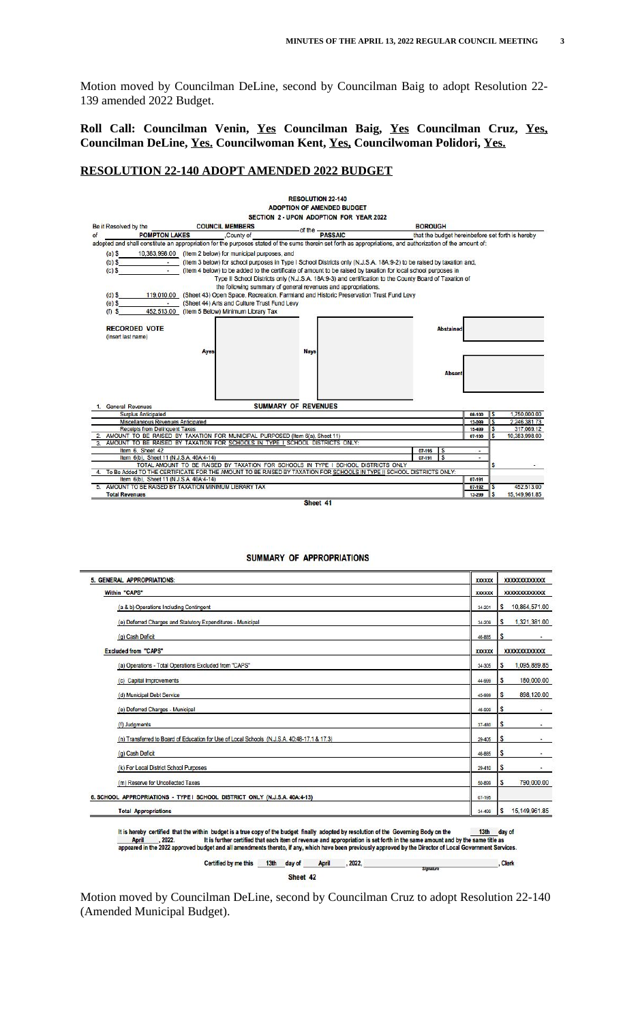Motion moved by Councilman DeLine, second by Councilman Baig to adopt Resolution 22- 139 amended 2022 Budget.

**Roll Call: Councilman Venin, Yes Councilman Baig, Yes Councilman Cruz, Yes, Councilman DeLine, Yes. Councilwoman Kent, Yes, Councilwoman Polidori, Yes.**

## **RESOLUTION 22-140 ADOPT AMENDED 2022 BUDGET**



#### **SUMMARY OF APPROPRIATIONS**

| 5. GENERAL APPROPRIATIONS:                                                                  | <b>XXXXXX</b>  | <b>XXXXXXXXXXXXX</b> |
|---------------------------------------------------------------------------------------------|----------------|----------------------|
| Within "CAPS"                                                                               | <b>XXXXXX</b>  | <b>XXXXXXXXXXXXX</b> |
| (a & b) Operations Including Contingent                                                     | 34-201         | \$<br>10,864,571.00  |
| (e) Deferred Charges and Statutory Expenditures - Municipal                                 | 34-209         | 1,321,381.00<br>S    |
| (g) Cash Deficit                                                                            | 46-885         | \$                   |
| <b>Excluded from "CAPS"</b>                                                                 | <b>XXXXXXX</b> | <b>XXXXXXXXXXXXX</b> |
| (a) Operations - Total Operations Excluded from "CAPS"                                      | 34-305         | \$<br>1,095,889.85   |
| (c) Capital Improvements                                                                    | 44-999         | \$<br>180,000.00     |
| (d) Municipal Debt Service                                                                  | 45-999         | \$<br>898,120.00     |
| (e) Deferred Charges - Municipal                                                            | 46-999         | S<br>۰               |
| (f) Judgments                                                                               | 37-480         | S                    |
| (n) Transferred to Board of Education for Use of Local Schools (N.J.S.A. 40:48-17.1 & 17.3) | 29-405         | \$                   |
| (g) Cash Deficit                                                                            | 46-885         | \$<br>٠              |
| (k) For Local District School Purposes                                                      | 29-410         | S                    |
| (m) Reserve for Uncollected Taxes                                                           | 50-899         | \$<br>790,000.00     |
| 6. SCHOOL APPROPRIATIONS - TYPE I SCHOOL DISTRICT ONLY (N.J.S.A. 40A:4-13)                  | $07 - 195$     |                      |
| <b>Total Appropriations</b>                                                                 | 34-499         | 15,149,961.85<br>\$  |

It is hereby certified that the within budget is a true copy of the budget finally adopted by resolution of the Governing Body on the 13th day of<br>April 2022. It is further certified that each item of revenue and appropriat Certified by me this 13th day of April , 2022, . Clerk

Sheet 42

Motion moved by Councilman DeLine, second by Councilman Cruz to adopt Resolution 22-140 (Amended Municipal Budget).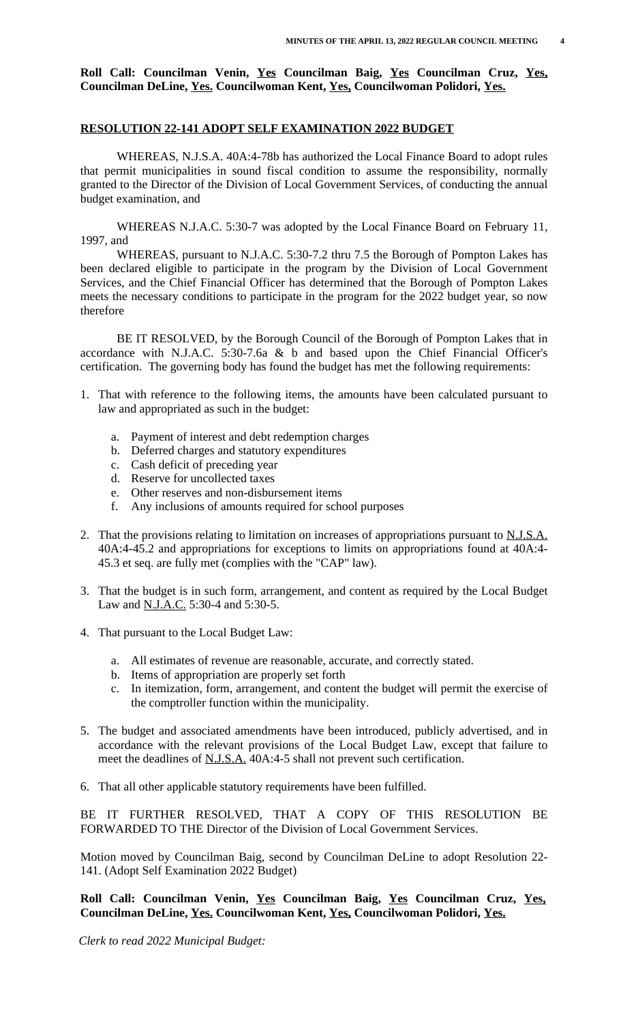**Roll Call: Councilman Venin, Yes Councilman Baig, Yes Councilman Cruz, Yes, Councilman DeLine, Yes. Councilwoman Kent, Yes, Councilwoman Polidori, Yes.**

## **RESOLUTION 22-141 ADOPT SELF EXAMINATION 2022 BUDGET**

WHEREAS, N.J.S.A. 40A:4-78b has authorized the Local Finance Board to adopt rules that permit municipalities in sound fiscal condition to assume the responsibility, normally granted to the Director of the Division of Local Government Services, of conducting the annual budget examination, and

WHEREAS N.J.A.C. 5:30-7 was adopted by the Local Finance Board on February 11, 1997, and

WHEREAS, pursuant to N.J.A.C. 5:30-7.2 thru 7.5 the Borough of Pompton Lakes has been declared eligible to participate in the program by the Division of Local Government Services, and the Chief Financial Officer has determined that the Borough of Pompton Lakes meets the necessary conditions to participate in the program for the 2022 budget year, so now therefore

BE IT RESOLVED, by the Borough Council of the Borough of Pompton Lakes that in accordance with N.J.A.C. 5:30-7.6a & b and based upon the Chief Financial Officer's certification. The governing body has found the budget has met the following requirements:

- 1. That with reference to the following items, the amounts have been calculated pursuant to law and appropriated as such in the budget:
	- a. Payment of interest and debt redemption charges
	- b. Deferred charges and statutory expenditures
	- c. Cash deficit of preceding year
	- d. Reserve for uncollected taxes
	- e. Other reserves and non-disbursement items<br>f. Any inclusions of amounts required for scho
	- f. Any inclusions of amounts required for school purposes
- 2. That the provisions relating to limitation on increases of appropriations pursuant to N.J.S.A. 40A:4-45.2 and appropriations for exceptions to limits on appropriations found at 40A:4- 45.3 et seq. are fully met (complies with the "CAP" law).
- 3. That the budget is in such form, arrangement, and content as required by the Local Budget Law and N.J.A.C. 5:30-4 and 5:30-5.
- 4. That pursuant to the Local Budget Law:
	- a. All estimates of revenue are reasonable, accurate, and correctly stated.
	- b. Items of appropriation are properly set forth
	- c. In itemization, form, arrangement, and content the budget will permit the exercise of the comptroller function within the municipality.
- 5. The budget and associated amendments have been introduced, publicly advertised, and in accordance with the relevant provisions of the Local Budget Law, except that failure to meet the deadlines of N.J.S.A. 40A:4-5 shall not prevent such certification.
- 6. That all other applicable statutory requirements have been fulfilled.

BE IT FURTHER RESOLVED, THAT A COPY OF THIS RESOLUTION BE FORWARDED TO THE Director of the Division of Local Government Services.

Motion moved by Councilman Baig, second by Councilman DeLine to adopt Resolution 22- 141. (Adopt Self Examination 2022 Budget)

# **Roll Call: Councilman Venin, Yes Councilman Baig, Yes Councilman Cruz, Yes, Councilman DeLine, Yes. Councilwoman Kent, Yes, Councilwoman Polidori, Yes.**

*Clerk to read 2022 Municipal Budget:*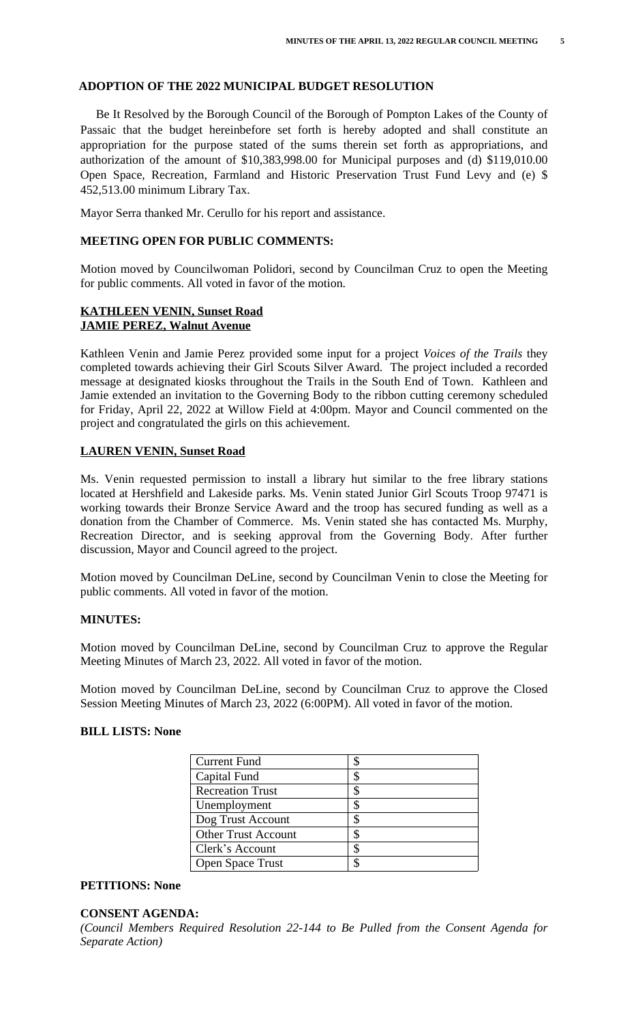# **ADOPTION OF THE 2022 MUNICIPAL BUDGET RESOLUTION**

Be It Resolved by the Borough Council of the Borough of Pompton Lakes of the County of Passaic that the budget hereinbefore set forth is hereby adopted and shall constitute an appropriation for the purpose stated of the sums therein set forth as appropriations, and authorization of the amount of \$10,383,998.00 for Municipal purposes and (d) \$119,010.00 Open Space, Recreation, Farmland and Historic Preservation Trust Fund Levy and (e) \$ 452,513.00 minimum Library Tax.

Mayor Serra thanked Mr. Cerullo for his report and assistance.

#### **MEETING OPEN FOR PUBLIC COMMENTS:**

Motion moved by Councilwoman Polidori, second by Councilman Cruz to open the Meeting for public comments. All voted in favor of the motion.

# **KATHLEEN VENIN, Sunset Road JAMIE PEREZ, Walnut Avenue**

Kathleen Venin and Jamie Perez provided some input for a project *Voices of the Trails* they completed towards achieving their Girl Scouts Silver Award. The project included a recorded message at designated kiosks throughout the Trails in the South End of Town. Kathleen and Jamie extended an invitation to the Governing Body to the ribbon cutting ceremony scheduled for Friday, April 22, 2022 at Willow Field at 4:00pm. Mayor and Council commented on the project and congratulated the girls on this achievement.

## **LAUREN VENIN, Sunset Road**

Ms. Venin requested permission to install a library hut similar to the free library stations located at Hershfield and Lakeside parks. Ms. Venin stated Junior Girl Scouts Troop 97471 is working towards their Bronze Service Award and the troop has secured funding as well as a donation from the Chamber of Commerce. Ms. Venin stated she has contacted Ms. Murphy, Recreation Director, and is seeking approval from the Governing Body. After further discussion, Mayor and Council agreed to the project.

Motion moved by Councilman DeLine, second by Councilman Venin to close the Meeting for public comments. All voted in favor of the motion.

#### **MINUTES:**

Motion moved by Councilman DeLine, second by Councilman Cruz to approve the Regular Meeting Minutes of March 23, 2022. All voted in favor of the motion.

Motion moved by Councilman DeLine, second by Councilman Cruz to approve the Closed Session Meeting Minutes of March 23, 2022 (6:00PM). All voted in favor of the motion.

## **BILL LISTS: None**

| <b>Current Fund</b>        |   |
|----------------------------|---|
| Capital Fund               | ጥ |
| <b>Recreation Trust</b>    |   |
| Unemployment               | S |
| Dog Trust Account          | S |
| <b>Other Trust Account</b> | S |
| Clerk's Account            | S |
| <b>Open Space Trust</b>    | ጦ |
|                            |   |

#### **PETITIONS: None**

#### **CONSENT AGENDA:**

*(Council Members Required Resolution 22-144 to Be Pulled from the Consent Agenda for Separate Action)*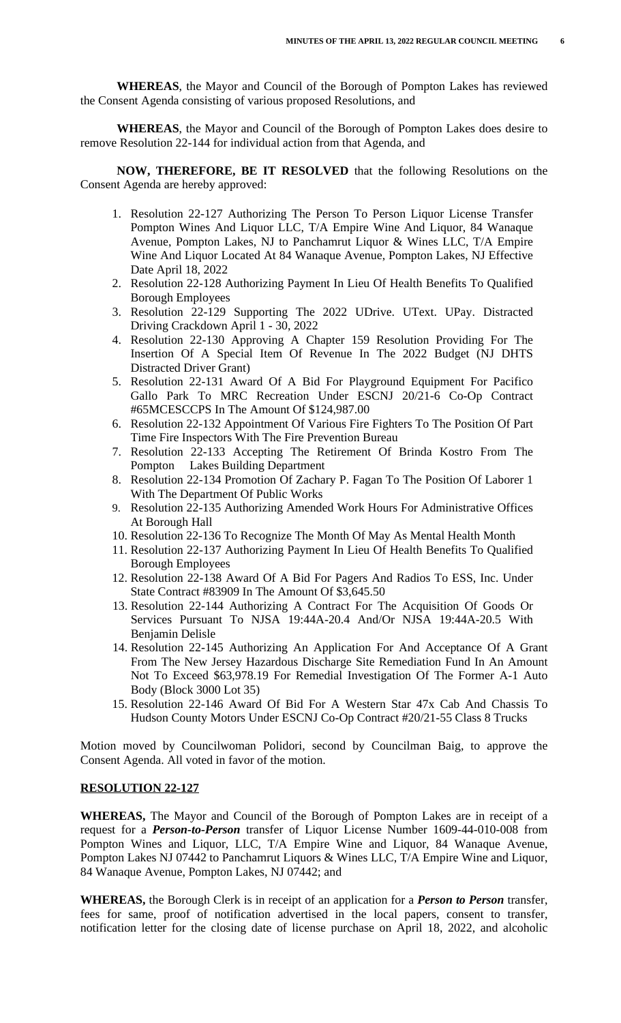**WHEREAS**, the Mayor and Council of the Borough of Pompton Lakes has reviewed the Consent Agenda consisting of various proposed Resolutions, and

**WHEREAS**, the Mayor and Council of the Borough of Pompton Lakes does desire to remove Resolution 22-144 for individual action from that Agenda, and

**NOW, THEREFORE, BE IT RESOLVED** that the following Resolutions on the Consent Agenda are hereby approved:

- 1. Resolution 22-127 Authorizing The Person To Person Liquor License Transfer Pompton Wines And Liquor LLC, T/A Empire Wine And Liquor, 84 Wanaque Avenue, Pompton Lakes, NJ to Panchamrut Liquor & Wines LLC, T/A Empire Wine And Liquor Located At 84 Wanaque Avenue, Pompton Lakes, NJ Effective Date April 18, 2022
- 2. Resolution 22-128 Authorizing Payment In Lieu Of Health Benefits To Qualified Borough Employees
- 3. Resolution 22-129 Supporting The 2022 UDrive. UText. UPay. Distracted Driving Crackdown April 1 - 30, 2022
- 4. Resolution 22-130 Approving A Chapter 159 Resolution Providing For The Insertion Of A Special Item Of Revenue In The 2022 Budget (NJ DHTS Distracted Driver Grant)
- 5. Resolution 22-131 Award Of A Bid For Playground Equipment For Pacifico Gallo Park To MRC Recreation Under ESCNJ 20/21-6 Co-Op Contract #65MCESCCPS In The Amount Of \$124,987.00
- 6. Resolution 22-132 Appointment Of Various Fire Fighters To The Position Of Part Time Fire Inspectors With The Fire Prevention Bureau
- 7. Resolution 22-133 Accepting The Retirement Of Brinda Kostro From The Pompton Lakes Building Department
- 8. Resolution 22-134 Promotion Of Zachary P. Fagan To The Position Of Laborer 1 With The Department Of Public Works
- 9. Resolution 22-135 Authorizing Amended Work Hours For Administrative Offices At Borough Hall
- 10. Resolution 22-136 To Recognize The Month Of May As Mental Health Month
- 11. Resolution 22-137 Authorizing Payment In Lieu Of Health Benefits To Qualified Borough Employees
- 12. Resolution 22-138 Award Of A Bid For Pagers And Radios To ESS, Inc. Under State Contract #83909 In The Amount Of \$3,645.50
- 13. Resolution 22-144 Authorizing A Contract For The Acquisition Of Goods Or Services Pursuant To NJSA 19:44A-20.4 And/Or NJSA 19:44A-20.5 With Benjamin Delisle
- 14. Resolution 22-145 Authorizing An Application For And Acceptance Of A Grant From The New Jersey Hazardous Discharge Site Remediation Fund In An Amount Not To Exceed \$63,978.19 For Remedial Investigation Of The Former A-1 Auto Body (Block 3000 Lot 35)
- 15. Resolution 22-146 Award Of Bid For A Western Star 47x Cab And Chassis To Hudson County Motors Under ESCNJ Co-Op Contract #20/21-55 Class 8 Trucks

Motion moved by Councilwoman Polidori, second by Councilman Baig, to approve the Consent Agenda. All voted in favor of the motion.

#### **RESOLUTION 22-127**

**WHEREAS,** The Mayor and Council of the Borough of Pompton Lakes are in receipt of a request for a *Person-to-Person* transfer of Liquor License Number 1609-44-010-008 from Pompton Wines and Liquor, LLC, T/A Empire Wine and Liquor, 84 Wanaque Avenue, Pompton Lakes NJ 07442 to Panchamrut Liquors & Wines LLC, T/A Empire Wine and Liquor, 84 Wanaque Avenue, Pompton Lakes, NJ 07442; and

**WHEREAS,** the Borough Clerk is in receipt of an application for a *Person to Person* transfer, fees for same, proof of notification advertised in the local papers, consent to transfer, notification letter for the closing date of license purchase on April 18, 2022, and alcoholic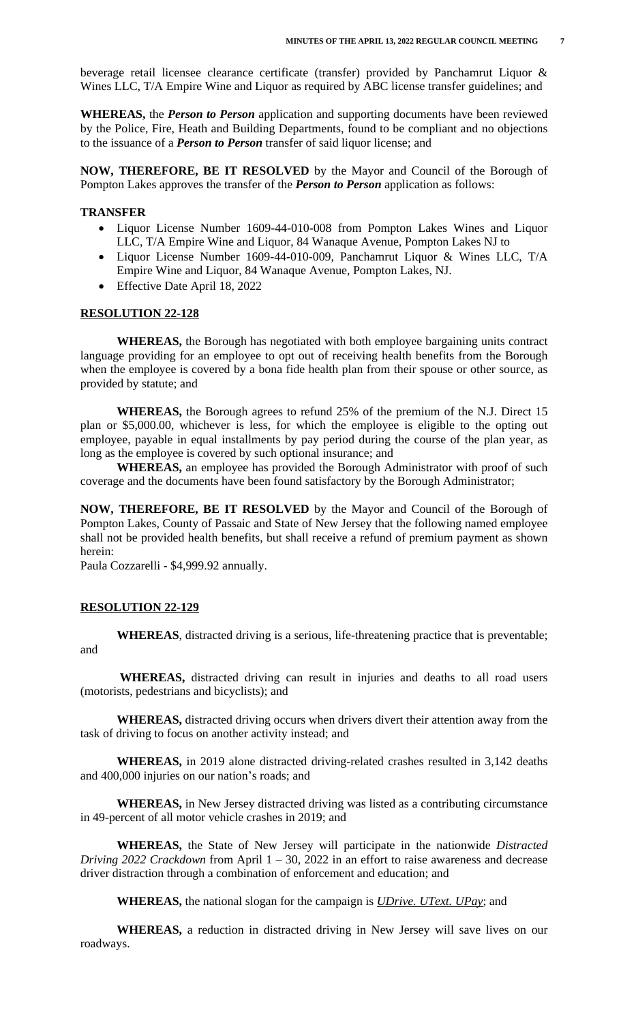beverage retail licensee clearance certificate (transfer) provided by Panchamrut Liquor & Wines LLC, T/A Empire Wine and Liquor as required by ABC license transfer guidelines; and

**WHEREAS,** the *Person to Person* application and supporting documents have been reviewed by the Police, Fire, Heath and Building Departments, found to be compliant and no objections to the issuance of a *Person to Person* transfer of said liquor license; and

**NOW, THEREFORE, BE IT RESOLVED** by the Mayor and Council of the Borough of Pompton Lakes approves the transfer of the *Person to Person* application as follows:

## **TRANSFER**

- Liquor License Number 1609-44-010-008 from Pompton Lakes Wines and Liquor LLC, T/A Empire Wine and Liquor, 84 Wanaque Avenue, Pompton Lakes NJ to
- Liquor License Number 1609-44-010-009, Panchamrut Liquor & Wines LLC, T/A Empire Wine and Liquor, 84 Wanaque Avenue, Pompton Lakes, NJ.
- Effective Date April 18, 2022

#### **RESOLUTION 22-128**

**WHEREAS,** the Borough has negotiated with both employee bargaining units contract language providing for an employee to opt out of receiving health benefits from the Borough when the employee is covered by a bona fide health plan from their spouse or other source, as provided by statute; and

**WHEREAS,** the Borough agrees to refund 25% of the premium of the N.J. Direct 15 plan or \$5,000.00, whichever is less, for which the employee is eligible to the opting out employee, payable in equal installments by pay period during the course of the plan year, as long as the employee is covered by such optional insurance; and

**WHEREAS,** an employee has provided the Borough Administrator with proof of such coverage and the documents have been found satisfactory by the Borough Administrator;

**NOW, THEREFORE, BE IT RESOLVED** by the Mayor and Council of the Borough of Pompton Lakes, County of Passaic and State of New Jersey that the following named employee shall not be provided health benefits, but shall receive a refund of premium payment as shown herein:

Paula Cozzarelli - \$4,999.92 annually.

#### **RESOLUTION 22-129**

**WHEREAS**, distracted driving is a serious, life-threatening practice that is preventable; and

 **WHEREAS,** distracted driving can result in injuries and deaths to all road users (motorists, pedestrians and bicyclists); and

 **WHEREAS,** distracted driving occurs when drivers divert their attention away from the task of driving to focus on another activity instead; and

**WHEREAS,** in 2019 alone distracted driving-related crashes resulted in 3,142 deaths and 400,000 injuries on our nation's roads; and

**WHEREAS,** in New Jersey distracted driving was listed as a contributing circumstance in 49-percent of all motor vehicle crashes in 2019; and

**WHEREAS,** the State of New Jersey will participate in the nationwide *Distracted Driving 2022 Crackdown* from April 1 – 30, 2022 in an effort to raise awareness and decrease driver distraction through a combination of enforcement and education; and

**WHEREAS,** the national slogan for the campaign is *UDrive. UText. UPay*; and

**WHEREAS,** a reduction in distracted driving in New Jersey will save lives on our roadways.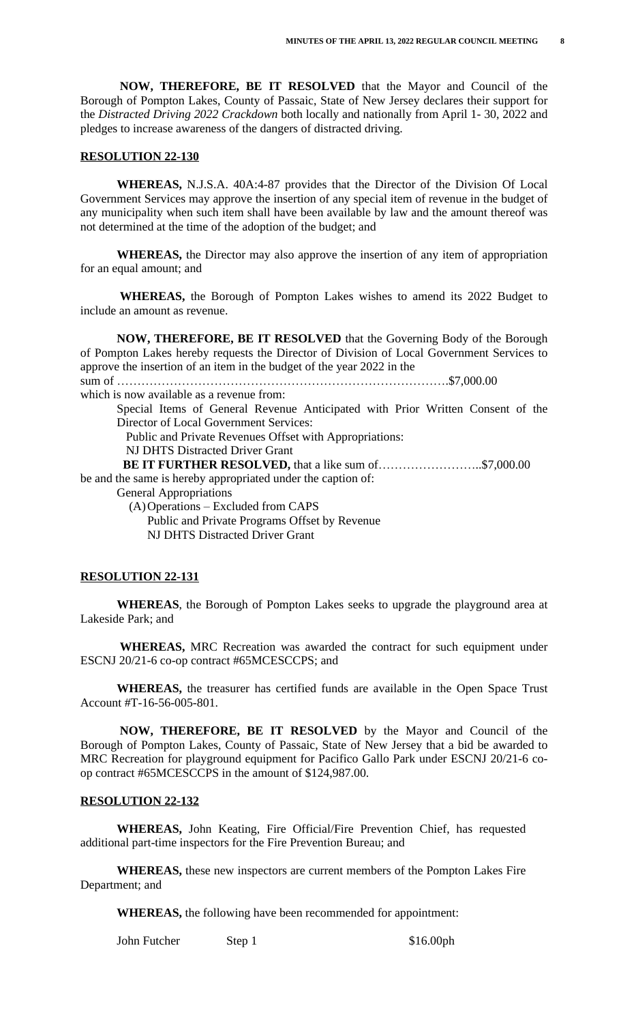**NOW, THEREFORE, BE IT RESOLVED** that the Mayor and Council of the Borough of Pompton Lakes, County of Passaic, State of New Jersey declares their support for the *Distracted Driving 2022 Crackdown* both locally and nationally from April 1- 30, 2022 and pledges to increase awareness of the dangers of distracted driving.

#### **RESOLUTION 22-130**

 **WHEREAS,** N.J.S.A. 40A:4-87 provides that the Director of the Division Of Local Government Services may approve the insertion of any special item of revenue in the budget of any municipality when such item shall have been available by law and the amount thereof was not determined at the time of the adoption of the budget; and

 **WHEREAS,** the Director may also approve the insertion of any item of appropriation for an equal amount; and

 **WHEREAS,** the Borough of Pompton Lakes wishes to amend its 2022 Budget to include an amount as revenue.

 **NOW, THEREFORE, BE IT RESOLVED** that the Governing Body of the Borough of Pompton Lakes hereby requests the Director of Division of Local Government Services to approve the insertion of an item in the budget of the year 2022 in the sum of ……………………………………………………………………….\$7,000.00 which is now available as a revenue from: Special Items of General Revenue Anticipated with Prior Written Consent of the Director of Local Government Services:

Public and Private Revenues Offset with Appropriations:

NJ DHTS Distracted Driver Grant

**BE IT FURTHER RESOLVED,** that a like sum of……………………..\$7,000.00

be and the same is hereby appropriated under the caption of:

General Appropriations

(A)Operations – Excluded from CAPS Public and Private Programs Offset by Revenue NJ DHTS Distracted Driver Grant

#### **RESOLUTION 22-131**

**WHEREAS**, the Borough of Pompton Lakes seeks to upgrade the playground area at Lakeside Park; and

 **WHEREAS,** MRC Recreation was awarded the contract for such equipment under ESCNJ 20/21-6 co-op contract #65MCESCCPS; and

 **WHEREAS,** the treasurer has certified funds are available in the Open Space Trust Account #T-16-56-005-801.

 **NOW, THEREFORE, BE IT RESOLVED** by the Mayor and Council of the Borough of Pompton Lakes, County of Passaic, State of New Jersey that a bid be awarded to MRC Recreation for playground equipment for Pacifico Gallo Park under ESCNJ 20/21-6 coop contract #65MCESCCPS in the amount of \$124,987.00.

#### **RESOLUTION 22-132**

**WHEREAS,** John Keating, Fire Official/Fire Prevention Chief, has requested additional part-time inspectors for the Fire Prevention Bureau; and

**WHEREAS,** these new inspectors are current members of the Pompton Lakes Fire Department; and

**WHEREAS,** the following have been recommended for appointment:

John Futcher Step 1 \$16.00ph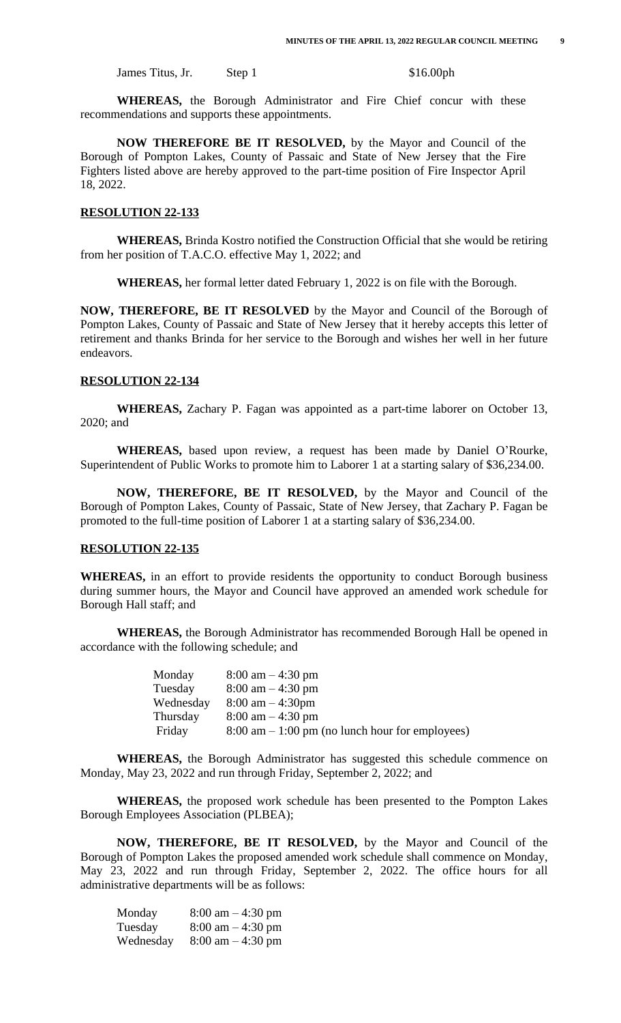James Titus, Jr. Step 1 \$16.00ph

**WHEREAS,** the Borough Administrator and Fire Chief concur with these recommendations and supports these appointments.

**NOW THEREFORE BE IT RESOLVED,** by the Mayor and Council of the Borough of Pompton Lakes, County of Passaic and State of New Jersey that the Fire Fighters listed above are hereby approved to the part-time position of Fire Inspector April 18, 2022.

#### **RESOLUTION 22-133**

**WHEREAS,** Brinda Kostro notified the Construction Official that she would be retiring from her position of T.A.C.O. effective May 1, 2022; and

**WHEREAS,** her formal letter dated February 1, 2022 is on file with the Borough.

**NOW, THEREFORE, BE IT RESOLVED** by the Mayor and Council of the Borough of Pompton Lakes, County of Passaic and State of New Jersey that it hereby accepts this letter of retirement and thanks Brinda for her service to the Borough and wishes her well in her future endeavors.

#### **RESOLUTION 22-134**

**WHEREAS,** Zachary P. Fagan was appointed as a part-time laborer on October 13, 2020; and

**WHEREAS,** based upon review, a request has been made by Daniel O'Rourke, Superintendent of Public Works to promote him to Laborer 1 at a starting salary of \$36,234.00.

**NOW, THEREFORE, BE IT RESOLVED,** by the Mayor and Council of the Borough of Pompton Lakes, County of Passaic, State of New Jersey, that Zachary P. Fagan be promoted to the full-time position of Laborer 1 at a starting salary of \$36,234.00.

#### **RESOLUTION 22-135**

**WHEREAS,** in an effort to provide residents the opportunity to conduct Borough business during summer hours, the Mayor and Council have approved an amended work schedule for Borough Hall staff; and

**WHEREAS,** the Borough Administrator has recommended Borough Hall be opened in accordance with the following schedule; and

| Monday    | $8:00 \text{ am} - 4:30 \text{ pm}$                               |
|-----------|-------------------------------------------------------------------|
| Tuesday   | $8:00 \text{ am} - 4:30 \text{ pm}$                               |
| Wednesday | $8:00 \text{ am} - 4:30 \text{pm}$                                |
| Thursday  | $8:00 \text{ am} - 4:30 \text{ pm}$                               |
| Friday    | $8:00 \text{ am} - 1:00 \text{ pm}$ (no lunch hour for employees) |

**WHEREAS,** the Borough Administrator has suggested this schedule commence on Monday, May 23, 2022 and run through Friday, September 2, 2022; and

**WHEREAS,** the proposed work schedule has been presented to the Pompton Lakes Borough Employees Association (PLBEA);

**NOW, THEREFORE, BE IT RESOLVED,** by the Mayor and Council of the Borough of Pompton Lakes the proposed amended work schedule shall commence on Monday, May 23, 2022 and run through Friday, September 2, 2022. The office hours for all administrative departments will be as follows:

| Monday    | $8:00 \text{ am} - 4:30 \text{ pm}$ |
|-----------|-------------------------------------|
| Tuesday   | $8:00 \text{ am} - 4:30 \text{ pm}$ |
| Wednesday | $8:00 \text{ am} - 4:30 \text{ pm}$ |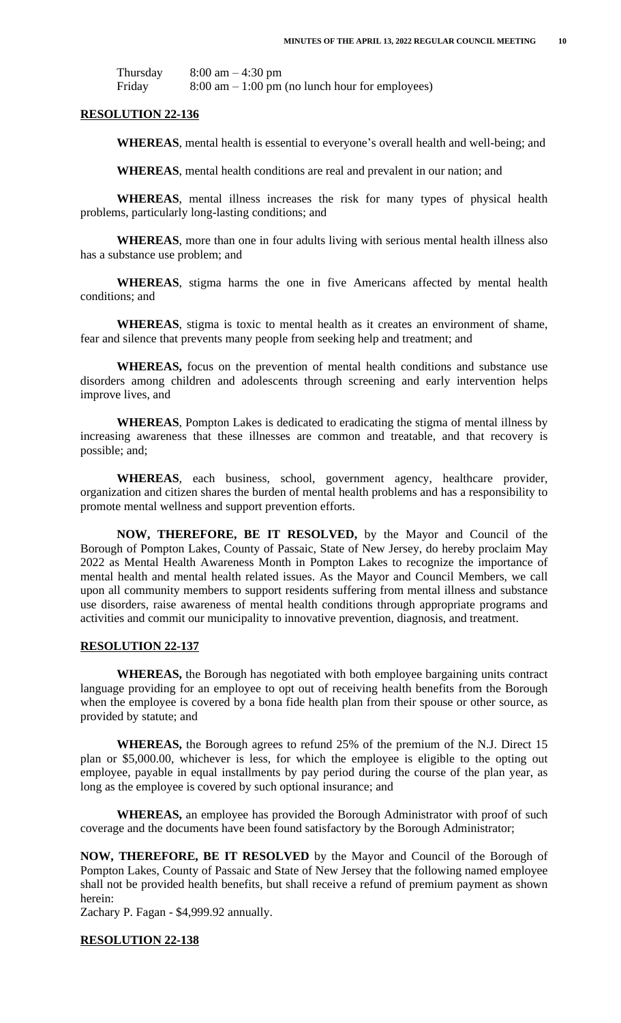| Thursday | $8:00 \text{ am} - 4:30 \text{ pm}$                               |
|----------|-------------------------------------------------------------------|
| Friday   | $8:00 \text{ am} - 1:00 \text{ pm}$ (no lunch hour for employees) |

#### **RESOLUTION 22-136**

**WHEREAS**, mental health is essential to everyone's overall health and well-being; and

**WHEREAS**, mental health conditions are real and prevalent in our nation; and

**WHEREAS**, mental illness increases the risk for many types of physical health problems, particularly long-lasting conditions; and

**WHEREAS**, more than one in four adults living with serious mental health illness also has a substance use problem; and

**WHEREAS**, stigma harms the one in five Americans affected by mental health conditions; and

**WHEREAS**, stigma is toxic to mental health as it creates an environment of shame, fear and silence that prevents many people from seeking help and treatment; and

**WHEREAS,** focus on the prevention of mental health conditions and substance use disorders among children and adolescents through screening and early intervention helps improve lives, and

**WHEREAS**, Pompton Lakes is dedicated to eradicating the stigma of mental illness by increasing awareness that these illnesses are common and treatable, and that recovery is possible; and;

**WHEREAS**, each business, school, government agency, healthcare provider, organization and citizen shares the burden of mental health problems and has a responsibility to promote mental wellness and support prevention efforts.

**NOW, THEREFORE, BE IT RESOLVED,** by the Mayor and Council of the Borough of Pompton Lakes, County of Passaic, State of New Jersey, do hereby proclaim May 2022 as Mental Health Awareness Month in Pompton Lakes to recognize the importance of mental health and mental health related issues. As the Mayor and Council Members, we call upon all community members to support residents suffering from mental illness and substance use disorders, raise awareness of mental health conditions through appropriate programs and activities and commit our municipality to innovative prevention, diagnosis, and treatment.

#### **RESOLUTION 22-137**

**WHEREAS,** the Borough has negotiated with both employee bargaining units contract language providing for an employee to opt out of receiving health benefits from the Borough when the employee is covered by a bona fide health plan from their spouse or other source, as provided by statute; and

**WHEREAS,** the Borough agrees to refund 25% of the premium of the N.J. Direct 15 plan or \$5,000.00, whichever is less, for which the employee is eligible to the opting out employee, payable in equal installments by pay period during the course of the plan year, as long as the employee is covered by such optional insurance; and

**WHEREAS,** an employee has provided the Borough Administrator with proof of such coverage and the documents have been found satisfactory by the Borough Administrator;

**NOW, THEREFORE, BE IT RESOLVED** by the Mayor and Council of the Borough of Pompton Lakes, County of Passaic and State of New Jersey that the following named employee shall not be provided health benefits, but shall receive a refund of premium payment as shown herein:

Zachary P. Fagan - \$4,999.92 annually.

#### **RESOLUTION 22-138**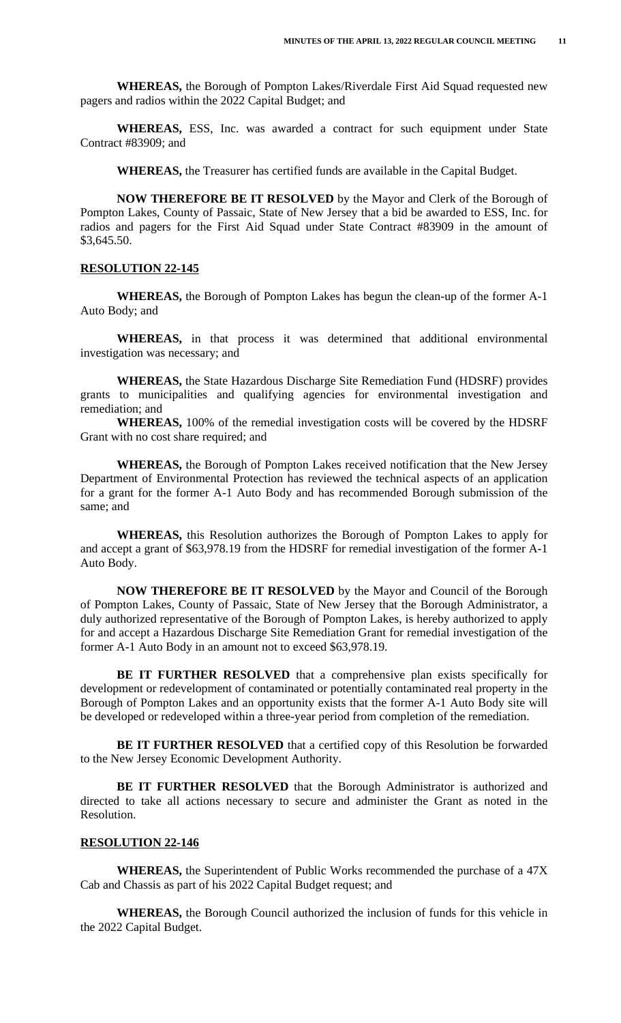**WHEREAS,** the Borough of Pompton Lakes/Riverdale First Aid Squad requested new pagers and radios within the 2022 Capital Budget; and

**WHEREAS,** ESS, Inc. was awarded a contract for such equipment under State Contract #83909; and

**WHEREAS,** the Treasurer has certified funds are available in the Capital Budget.

**NOW THEREFORE BE IT RESOLVED** by the Mayor and Clerk of the Borough of Pompton Lakes, County of Passaic, State of New Jersey that a bid be awarded to ESS, Inc. for radios and pagers for the First Aid Squad under State Contract #83909 in the amount of \$3,645.50.

#### **RESOLUTION 22-145**

**WHEREAS,** the Borough of Pompton Lakes has begun the clean-up of the former A-1 Auto Body; and

**WHEREAS,** in that process it was determined that additional environmental investigation was necessary; and

**WHEREAS,** the State Hazardous Discharge Site Remediation Fund (HDSRF) provides grants to municipalities and qualifying agencies for environmental investigation and remediation; and

**WHEREAS,** 100% of the remedial investigation costs will be covered by the HDSRF Grant with no cost share required; and

**WHEREAS,** the Borough of Pompton Lakes received notification that the New Jersey Department of Environmental Protection has reviewed the technical aspects of an application for a grant for the former A-1 Auto Body and has recommended Borough submission of the same; and

**WHEREAS,** this Resolution authorizes the Borough of Pompton Lakes to apply for and accept a grant of \$63,978.19 from the HDSRF for remedial investigation of the former A-1 Auto Body.

**NOW THEREFORE BE IT RESOLVED** by the Mayor and Council of the Borough of Pompton Lakes, County of Passaic, State of New Jersey that the Borough Administrator, a duly authorized representative of the Borough of Pompton Lakes, is hereby authorized to apply for and accept a Hazardous Discharge Site Remediation Grant for remedial investigation of the former A-1 Auto Body in an amount not to exceed \$63,978.19.

**BE IT FURTHER RESOLVED** that a comprehensive plan exists specifically for development or redevelopment of contaminated or potentially contaminated real property in the Borough of Pompton Lakes and an opportunity exists that the former A-1 Auto Body site will be developed or redeveloped within a three-year period from completion of the remediation.

**BE IT FURTHER RESOLVED** that a certified copy of this Resolution be forwarded to the New Jersey Economic Development Authority.

**BE IT FURTHER RESOLVED** that the Borough Administrator is authorized and directed to take all actions necessary to secure and administer the Grant as noted in the Resolution.

## **RESOLUTION 22-146**

**WHEREAS,** the Superintendent of Public Works recommended the purchase of a 47X Cab and Chassis as part of his 2022 Capital Budget request; and

**WHEREAS,** the Borough Council authorized the inclusion of funds for this vehicle in the 2022 Capital Budget.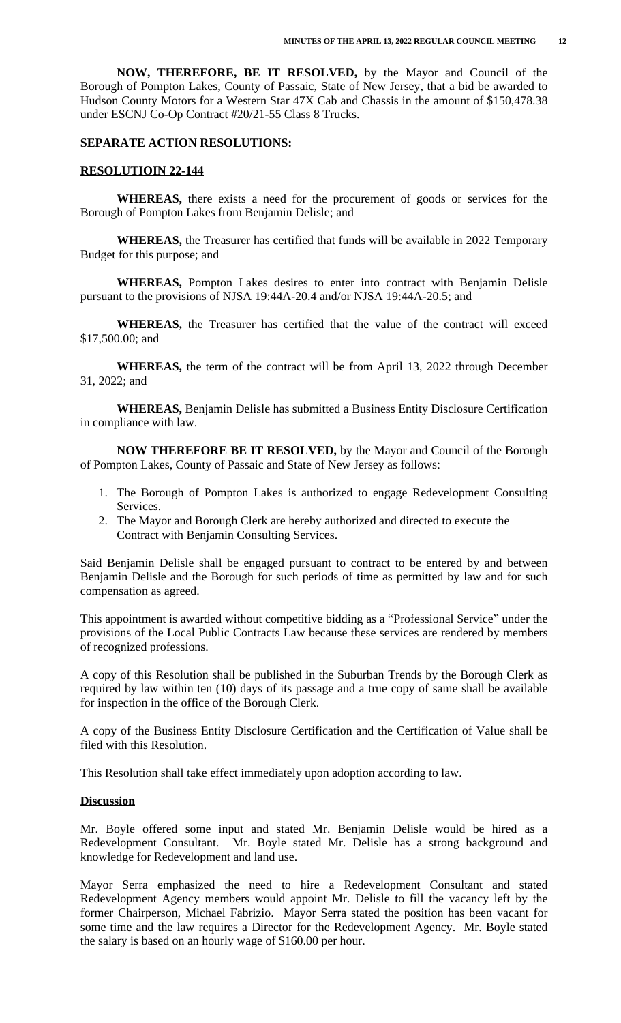**NOW, THEREFORE, BE IT RESOLVED,** by the Mayor and Council of the Borough of Pompton Lakes, County of Passaic, State of New Jersey, that a bid be awarded to Hudson County Motors for a Western Star 47X Cab and Chassis in the amount of \$150,478.38 under ESCNJ Co-Op Contract #20/21-55 Class 8 Trucks.

#### **SEPARATE ACTION RESOLUTIONS:**

#### **RESOLUTIOIN 22-144**

**WHEREAS,** there exists a need for the procurement of goods or services for the Borough of Pompton Lakes from Benjamin Delisle; and

**WHEREAS,** the Treasurer has certified that funds will be available in 2022 Temporary Budget for this purpose; and

**WHEREAS,** Pompton Lakes desires to enter into contract with Benjamin Delisle pursuant to the provisions of NJSA 19:44A-20.4 and/or NJSA 19:44A-20.5; and

**WHEREAS,** the Treasurer has certified that the value of the contract will exceed \$17,500.00; and

**WHEREAS,** the term of the contract will be from April 13, 2022 through December 31, 2022; and

**WHEREAS,** Benjamin Delisle has submitted a Business Entity Disclosure Certification in compliance with law.

**NOW THEREFORE BE IT RESOLVED,** by the Mayor and Council of the Borough of Pompton Lakes, County of Passaic and State of New Jersey as follows:

- 1. The Borough of Pompton Lakes is authorized to engage Redevelopment Consulting Services.
- 2. The Mayor and Borough Clerk are hereby authorized and directed to execute the Contract with Benjamin Consulting Services.

Said Benjamin Delisle shall be engaged pursuant to contract to be entered by and between Benjamin Delisle and the Borough for such periods of time as permitted by law and for such compensation as agreed.

This appointment is awarded without competitive bidding as a "Professional Service" under the provisions of the Local Public Contracts Law because these services are rendered by members of recognized professions.

A copy of this Resolution shall be published in the Suburban Trends by the Borough Clerk as required by law within ten (10) days of its passage and a true copy of same shall be available for inspection in the office of the Borough Clerk.

A copy of the Business Entity Disclosure Certification and the Certification of Value shall be filed with this Resolution.

This Resolution shall take effect immediately upon adoption according to law.

#### **Discussion**

Mr. Boyle offered some input and stated Mr. Benjamin Delisle would be hired as a Redevelopment Consultant. Mr. Boyle stated Mr. Delisle has a strong background and knowledge for Redevelopment and land use.

Mayor Serra emphasized the need to hire a Redevelopment Consultant and stated Redevelopment Agency members would appoint Mr. Delisle to fill the vacancy left by the former Chairperson, Michael Fabrizio. Mayor Serra stated the position has been vacant for some time and the law requires a Director for the Redevelopment Agency. Mr. Boyle stated the salary is based on an hourly wage of \$160.00 per hour.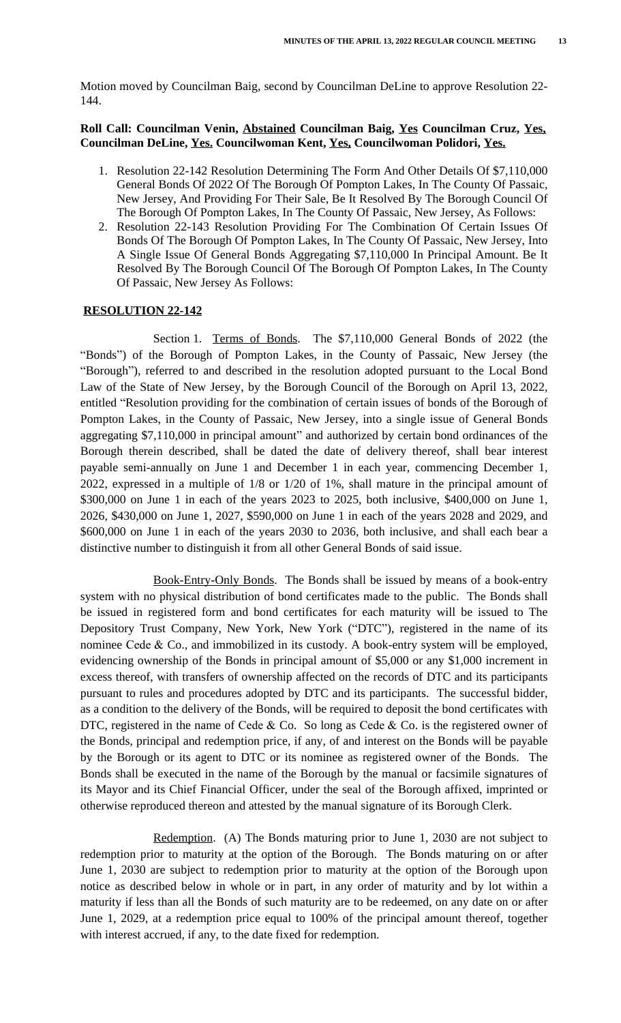Motion moved by Councilman Baig, second by Councilman DeLine to approve Resolution 22- 144.

## **Roll Call: Councilman Venin, Abstained Councilman Baig, Yes Councilman Cruz, Yes, Councilman DeLine, Yes. Councilwoman Kent, Yes, Councilwoman Polidori, Yes.**

- 1. Resolution 22-142 Resolution Determining The Form And Other Details Of \$7,110,000 General Bonds Of 2022 Of The Borough Of Pompton Lakes, In The County Of Passaic, New Jersey, And Providing For Their Sale, Be It Resolved By The Borough Council Of The Borough Of Pompton Lakes, In The County Of Passaic, New Jersey, As Follows:
- 2. Resolution 22-143 Resolution Providing For The Combination Of Certain Issues Of Bonds Of The Borough Of Pompton Lakes, In The County Of Passaic, New Jersey, Into A Single Issue Of General Bonds Aggregating \$7,110,000 In Principal Amount. Be It Resolved By The Borough Council Of The Borough Of Pompton Lakes, In The County Of Passaic, New Jersey As Follows:

#### **RESOLUTION 22-142**

Section 1. Terms of Bonds. The \$7,110,000 General Bonds of 2022 (the "Bonds") of the Borough of Pompton Lakes, in the County of Passaic, New Jersey (the "Borough"), referred to and described in the resolution adopted pursuant to the Local Bond Law of the State of New Jersey, by the Borough Council of the Borough on April 13, 2022, entitled "Resolution providing for the combination of certain issues of bonds of the Borough of Pompton Lakes, in the County of Passaic, New Jersey, into a single issue of General Bonds aggregating \$7,110,000 in principal amount" and authorized by certain bond ordinances of the Borough therein described, shall be dated the date of delivery thereof, shall bear interest payable semi-annually on June 1 and December 1 in each year, commencing December 1, 2022, expressed in a multiple of 1/8 or 1/20 of 1%, shall mature in the principal amount of \$300,000 on June 1 in each of the years 2023 to 2025, both inclusive, \$400,000 on June 1, 2026, \$430,000 on June 1, 2027, \$590,000 on June 1 in each of the years 2028 and 2029, and \$600,000 on June 1 in each of the years 2030 to 2036, both inclusive, and shall each bear a distinctive number to distinguish it from all other General Bonds of said issue.

Book-Entry-Only Bonds. The Bonds shall be issued by means of a book-entry system with no physical distribution of bond certificates made to the public. The Bonds shall be issued in registered form and bond certificates for each maturity will be issued to The Depository Trust Company, New York, New York ("DTC"), registered in the name of its nominee Cede  $\&$  Co., and immobilized in its custody. A book-entry system will be employed, evidencing ownership of the Bonds in principal amount of \$5,000 or any \$1,000 increment in excess thereof, with transfers of ownership affected on the records of DTC and its participants pursuant to rules and procedures adopted by DTC and its participants. The successful bidder, as a condition to the delivery of the Bonds, will be required to deposit the bond certificates with DTC, registered in the name of Cede & Co. So long as Cede & Co. is the registered owner of the Bonds, principal and redemption price, if any, of and interest on the Bonds will be payable by the Borough or its agent to DTC or its nominee as registered owner of the Bonds. The Bonds shall be executed in the name of the Borough by the manual or facsimile signatures of its Mayor and its Chief Financial Officer, under the seal of the Borough affixed, imprinted or otherwise reproduced thereon and attested by the manual signature of its Borough Clerk.

Redemption. (A) The Bonds maturing prior to June 1, 2030 are not subject to redemption prior to maturity at the option of the Borough. The Bonds maturing on or after June 1, 2030 are subject to redemption prior to maturity at the option of the Borough upon notice as described below in whole or in part, in any order of maturity and by lot within a maturity if less than all the Bonds of such maturity are to be redeemed, on any date on or after June 1, 2029, at a redemption price equal to 100% of the principal amount thereof, together with interest accrued, if any, to the date fixed for redemption.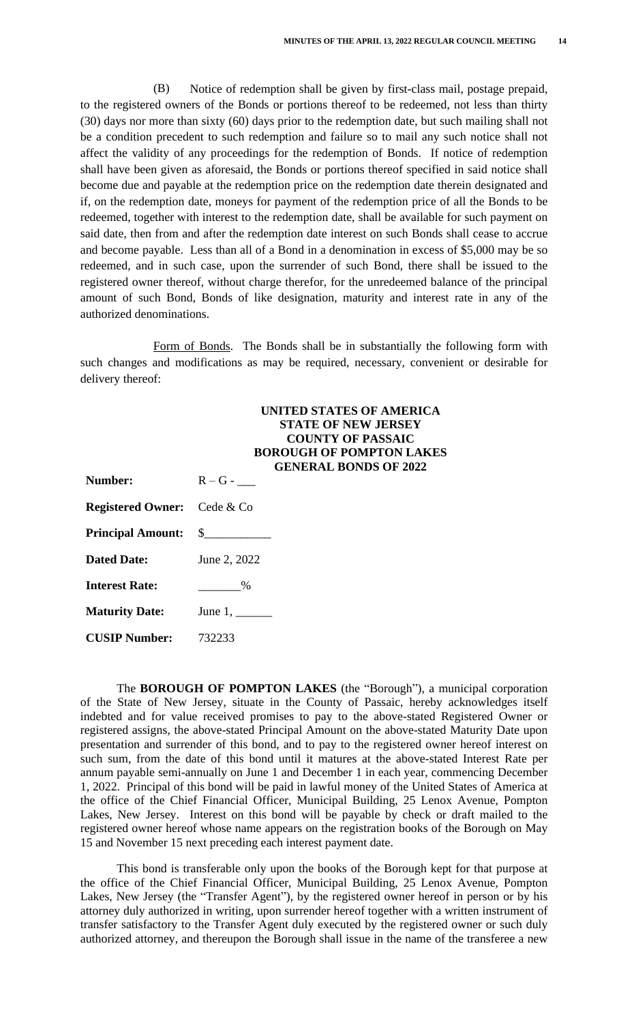(B) Notice of redemption shall be given by first-class mail, postage prepaid, to the registered owners of the Bonds or portions thereof to be redeemed, not less than thirty (30) days nor more than sixty (60) days prior to the redemption date, but such mailing shall not be a condition precedent to such redemption and failure so to mail any such notice shall not affect the validity of any proceedings for the redemption of Bonds. If notice of redemption shall have been given as aforesaid, the Bonds or portions thereof specified in said notice shall become due and payable at the redemption price on the redemption date therein designated and if, on the redemption date, moneys for payment of the redemption price of all the Bonds to be redeemed, together with interest to the redemption date, shall be available for such payment on said date, then from and after the redemption date interest on such Bonds shall cease to accrue and become payable. Less than all of a Bond in a denomination in excess of \$5,000 may be so redeemed, and in such case, upon the surrender of such Bond, there shall be issued to the registered owner thereof, without charge therefor, for the unredeemed balance of the principal amount of such Bond, Bonds of like designation, maturity and interest rate in any of the authorized denominations.

Form of Bonds. The Bonds shall be in substantially the following form with such changes and modifications as may be required, necessary, convenient or desirable for delivery thereof:

|                                    | UNITED STATES OF AMERICA<br><b>STATE OF NEW JERSEY</b><br><b>COUNTY OF PASSAIC</b><br><b>BOROUGH OF POMPTON LAKES</b><br><b>GENERAL BONDS OF 2022</b> |
|------------------------------------|-------------------------------------------------------------------------------------------------------------------------------------------------------|
| <b>Number:</b>                     | $R - G -$                                                                                                                                             |
| <b>Registered Owner:</b> Cede & Co |                                                                                                                                                       |
|                                    |                                                                                                                                                       |
| <b>Dated Date:</b>                 | June 2, 2022                                                                                                                                          |
| <b>Interest Rate:</b>              | $\%$                                                                                                                                                  |
| <b>Maturity Date:</b>              | June $1$ ,                                                                                                                                            |
| <b>CUSIP Number:</b>               | 732233                                                                                                                                                |

The **BOROUGH OF POMPTON LAKES** (the "Borough"), a municipal corporation of the State of New Jersey, situate in the County of Passaic, hereby acknowledges itself indebted and for value received promises to pay to the above-stated Registered Owner or registered assigns, the above-stated Principal Amount on the above-stated Maturity Date upon presentation and surrender of this bond, and to pay to the registered owner hereof interest on such sum, from the date of this bond until it matures at the above-stated Interest Rate per annum payable semi-annually on June 1 and December 1 in each year, commencing December 1, 2022. Principal of this bond will be paid in lawful money of the United States of America at the office of the Chief Financial Officer, Municipal Building, 25 Lenox Avenue, Pompton Lakes, New Jersey. Interest on this bond will be payable by check or draft mailed to the registered owner hereof whose name appears on the registration books of the Borough on May 15 and November 15 next preceding each interest payment date.

This bond is transferable only upon the books of the Borough kept for that purpose at the office of the Chief Financial Officer, Municipal Building, 25 Lenox Avenue, Pompton Lakes, New Jersey (the "Transfer Agent"), by the registered owner hereof in person or by his attorney duly authorized in writing, upon surrender hereof together with a written instrument of transfer satisfactory to the Transfer Agent duly executed by the registered owner or such duly authorized attorney, and thereupon the Borough shall issue in the name of the transferee a new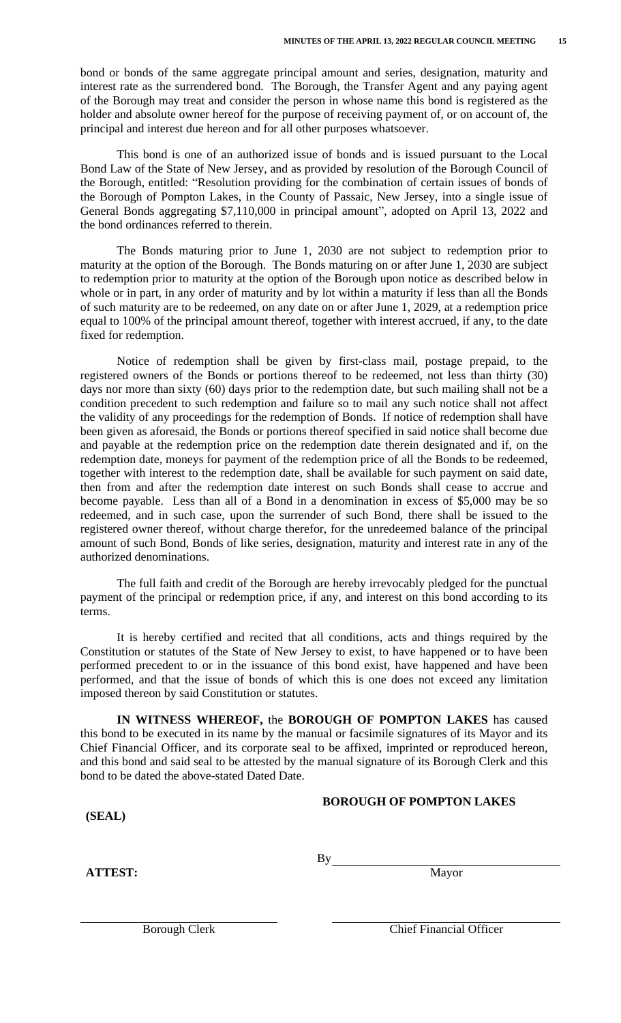bond or bonds of the same aggregate principal amount and series, designation, maturity and interest rate as the surrendered bond. The Borough, the Transfer Agent and any paying agent of the Borough may treat and consider the person in whose name this bond is registered as the holder and absolute owner hereof for the purpose of receiving payment of, or on account of, the principal and interest due hereon and for all other purposes whatsoever.

This bond is one of an authorized issue of bonds and is issued pursuant to the Local Bond Law of the State of New Jersey, and as provided by resolution of the Borough Council of the Borough, entitled: "Resolution providing for the combination of certain issues of bonds of the Borough of Pompton Lakes, in the County of Passaic, New Jersey, into a single issue of General Bonds aggregating \$7,110,000 in principal amount", adopted on April 13, 2022 and the bond ordinances referred to therein.

The Bonds maturing prior to June 1, 2030 are not subject to redemption prior to maturity at the option of the Borough. The Bonds maturing on or after June 1, 2030 are subject to redemption prior to maturity at the option of the Borough upon notice as described below in whole or in part, in any order of maturity and by lot within a maturity if less than all the Bonds of such maturity are to be redeemed, on any date on or after June 1, 2029, at a redemption price equal to 100% of the principal amount thereof, together with interest accrued, if any, to the date fixed for redemption.

Notice of redemption shall be given by first-class mail, postage prepaid, to the registered owners of the Bonds or portions thereof to be redeemed, not less than thirty (30) days nor more than sixty (60) days prior to the redemption date, but such mailing shall not be a condition precedent to such redemption and failure so to mail any such notice shall not affect the validity of any proceedings for the redemption of Bonds. If notice of redemption shall have been given as aforesaid, the Bonds or portions thereof specified in said notice shall become due and payable at the redemption price on the redemption date therein designated and if, on the redemption date, moneys for payment of the redemption price of all the Bonds to be redeemed, together with interest to the redemption date, shall be available for such payment on said date, then from and after the redemption date interest on such Bonds shall cease to accrue and become payable. Less than all of a Bond in a denomination in excess of \$5,000 may be so redeemed, and in such case, upon the surrender of such Bond, there shall be issued to the registered owner thereof, without charge therefor, for the unredeemed balance of the principal amount of such Bond, Bonds of like series, designation, maturity and interest rate in any of the authorized denominations.

The full faith and credit of the Borough are hereby irrevocably pledged for the punctual payment of the principal or redemption price, if any, and interest on this bond according to its terms.

It is hereby certified and recited that all conditions, acts and things required by the Constitution or statutes of the State of New Jersey to exist, to have happened or to have been performed precedent to or in the issuance of this bond exist, have happened and have been performed, and that the issue of bonds of which this is one does not exceed any limitation imposed thereon by said Constitution or statutes.

**IN WITNESS WHEREOF,** the **BOROUGH OF POMPTON LAKES** has caused this bond to be executed in its name by the manual or facsimile signatures of its Mayor and its Chief Financial Officer, and its corporate seal to be affixed, imprinted or reproduced hereon, and this bond and said seal to be attested by the manual signature of its Borough Clerk and this bond to be dated the above-stated Dated Date.

#### **BOROUGH OF POMPTON LAKES**

**(SEAL)**

**ATTEST:** Mayor

By

Borough Clerk Chief Financial Officer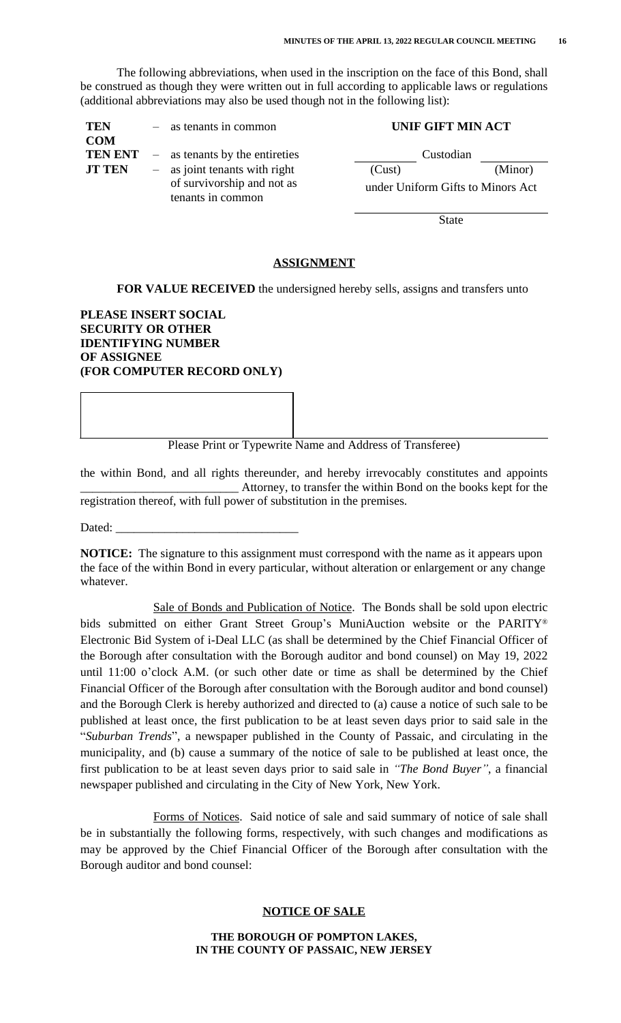The following abbreviations, when used in the inscription on the face of this Bond, shall be construed as though they were written out in full according to applicable laws or regulations (additional abbreviations may also be used though not in the following list):

| <b>TEN</b>     | $-$ as tenants in common         | <b>UNIF GIFT MIN ACT</b>          |         |
|----------------|----------------------------------|-----------------------------------|---------|
| <b>COM</b>     |                                  |                                   |         |
| <b>TEN ENT</b> | $-$ as tenants by the entireties | Custodian                         |         |
| <b>JT TEN</b>  | $-$ as joint tenants with right  | (Cust)                            | (Minor) |
|                | of survivorship and not as       | under Uniform Gifts to Minors Act |         |
|                | tenants in common                |                                   |         |

State

## **ASSIGNMENT**

**FOR VALUE RECEIVED** the undersigned hereby sells, assigns and transfers unto

## **PLEASE INSERT SOCIAL SECURITY OR OTHER IDENTIFYING NUMBER OF ASSIGNEE (FOR COMPUTER RECORD ONLY)**

Please Print or Typewrite Name and Address of Transferee)

the within Bond, and all rights thereunder, and hereby irrevocably constitutes and appoints \_\_\_\_\_\_\_\_\_\_\_\_\_\_\_\_\_\_\_\_\_\_\_\_\_\_ Attorney, to transfer the within Bond on the books kept for the registration thereof, with full power of substitution in the premises.

Dated:

**NOTICE:** The signature to this assignment must correspond with the name as it appears upon the face of the within Bond in every particular, without alteration or enlargement or any change whatever.

Sale of Bonds and Publication of Notice. The Bonds shall be sold upon electric bids submitted on either Grant Street Group's MuniAuction website or the PARITY® Electronic Bid System of i-Deal LLC (as shall be determined by the Chief Financial Officer of the Borough after consultation with the Borough auditor and bond counsel) on May 19, 2022 until 11:00 o'clock A.M. (or such other date or time as shall be determined by the Chief Financial Officer of the Borough after consultation with the Borough auditor and bond counsel) and the Borough Clerk is hereby authorized and directed to (a) cause a notice of such sale to be published at least once, the first publication to be at least seven days prior to said sale in the "*Suburban Trends*", a newspaper published in the County of Passaic, and circulating in the municipality, and (b) cause a summary of the notice of sale to be published at least once, the first publication to be at least seven days prior to said sale in *"The Bond Buyer"*, a financial newspaper published and circulating in the City of New York, New York.

Forms of Notices. Said notice of sale and said summary of notice of sale shall be in substantially the following forms, respectively, with such changes and modifications as may be approved by the Chief Financial Officer of the Borough after consultation with the Borough auditor and bond counsel:

## **NOTICE OF SALE**

#### **THE BOROUGH OF POMPTON LAKES, IN THE COUNTY OF PASSAIC, NEW JERSEY**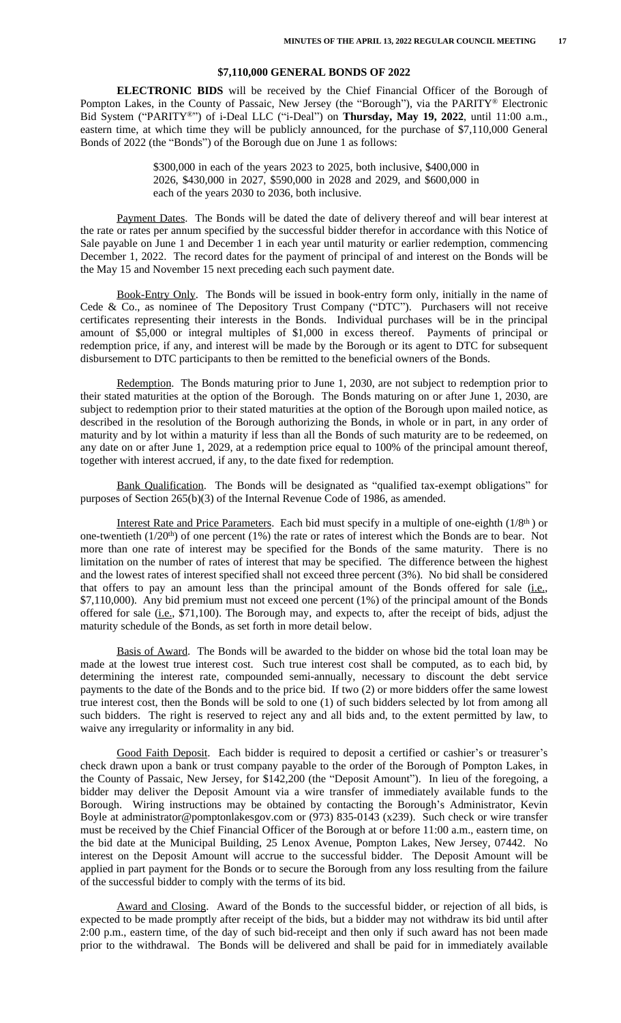#### **\$7,110,000 GENERAL BONDS OF 2022**

**ELECTRONIC BIDS** will be received by the Chief Financial Officer of the Borough of Pompton Lakes, in the County of Passaic, New Jersey (the "Borough"), via the PARITY® Electronic Bid System ("PARITY®") of i-Deal LLC ("i-Deal") on **Thursday, May 19, 2022**, until 11:00 a.m., eastern time, at which time they will be publicly announced, for the purchase of \$7,110,000 General Bonds of 2022 (the "Bonds") of the Borough due on June 1 as follows:

> \$300,000 in each of the years 2023 to 2025, both inclusive, \$400,000 in 2026, \$430,000 in 2027, \$590,000 in 2028 and 2029, and \$600,000 in each of the years 2030 to 2036, both inclusive.

Payment Dates. The Bonds will be dated the date of delivery thereof and will bear interest at the rate or rates per annum specified by the successful bidder therefor in accordance with this Notice of Sale payable on June 1 and December 1 in each year until maturity or earlier redemption, commencing December 1, 2022. The record dates for the payment of principal of and interest on the Bonds will be the May 15 and November 15 next preceding each such payment date.

Book-Entry Only. The Bonds will be issued in book-entry form only, initially in the name of Cede & Co., as nominee of The Depository Trust Company ("DTC"). Purchasers will not receive certificates representing their interests in the Bonds. Individual purchases will be in the principal amount of \$5,000 or integral multiples of \$1,000 in excess thereof. Payments of principal or redemption price, if any, and interest will be made by the Borough or its agent to DTC for subsequent disbursement to DTC participants to then be remitted to the beneficial owners of the Bonds.

Redemption. The Bonds maturing prior to June 1, 2030, are not subject to redemption prior to their stated maturities at the option of the Borough. The Bonds maturing on or after June 1, 2030, are subject to redemption prior to their stated maturities at the option of the Borough upon mailed notice, as described in the resolution of the Borough authorizing the Bonds, in whole or in part, in any order of maturity and by lot within a maturity if less than all the Bonds of such maturity are to be redeemed, on any date on or after June 1, 2029, at a redemption price equal to 100% of the principal amount thereof, together with interest accrued, if any, to the date fixed for redemption.

Bank Qualification. The Bonds will be designated as "qualified tax-exempt obligations" for purposes of Section 265(b)(3) of the Internal Revenue Code of 1986, as amended.

Interest Rate and Price Parameters. Each bid must specify in a multiple of one-eighth (1/8<sup>th</sup>) or one-twentieth (1/20th) of one percent (1%) the rate or rates of interest which the Bonds are to bear. Not more than one rate of interest may be specified for the Bonds of the same maturity. There is no limitation on the number of rates of interest that may be specified. The difference between the highest and the lowest rates of interest specified shall not exceed three percent (3%). No bid shall be considered that offers to pay an amount less than the principal amount of the Bonds offered for sale (i.e., \$7,110,000). Any bid premium must not exceed one percent (1%) of the principal amount of the Bonds offered for sale (i.e., \$71,100). The Borough may, and expects to, after the receipt of bids, adjust the maturity schedule of the Bonds, as set forth in more detail below.

Basis of Award. The Bonds will be awarded to the bidder on whose bid the total loan may be made at the lowest true interest cost. Such true interest cost shall be computed, as to each bid, by determining the interest rate, compounded semi-annually, necessary to discount the debt service payments to the date of the Bonds and to the price bid. If two (2) or more bidders offer the same lowest true interest cost, then the Bonds will be sold to one (1) of such bidders selected by lot from among all such bidders. The right is reserved to reject any and all bids and, to the extent permitted by law, to waive any irregularity or informality in any bid.

Good Faith Deposit. Each bidder is required to deposit a certified or cashier's or treasurer's check drawn upon a bank or trust company payable to the order of the Borough of Pompton Lakes, in the County of Passaic, New Jersey, for \$142,200 (the "Deposit Amount"). In lieu of the foregoing, a bidder may deliver the Deposit Amount via a wire transfer of immediately available funds to the Borough. Wiring instructions may be obtained by contacting the Borough's Administrator, Kevin Boyle at administrator@pomptonlakesgov.com or (973) 835-0143 (x239). Such check or wire transfer must be received by the Chief Financial Officer of the Borough at or before 11:00 a.m., eastern time, on the bid date at the Municipal Building, 25 Lenox Avenue, Pompton Lakes, New Jersey, 07442. No interest on the Deposit Amount will accrue to the successful bidder. The Deposit Amount will be applied in part payment for the Bonds or to secure the Borough from any loss resulting from the failure of the successful bidder to comply with the terms of its bid.

Award and Closing. Award of the Bonds to the successful bidder, or rejection of all bids, is expected to be made promptly after receipt of the bids, but a bidder may not withdraw its bid until after 2:00 p.m., eastern time, of the day of such bid-receipt and then only if such award has not been made prior to the withdrawal. The Bonds will be delivered and shall be paid for in immediately available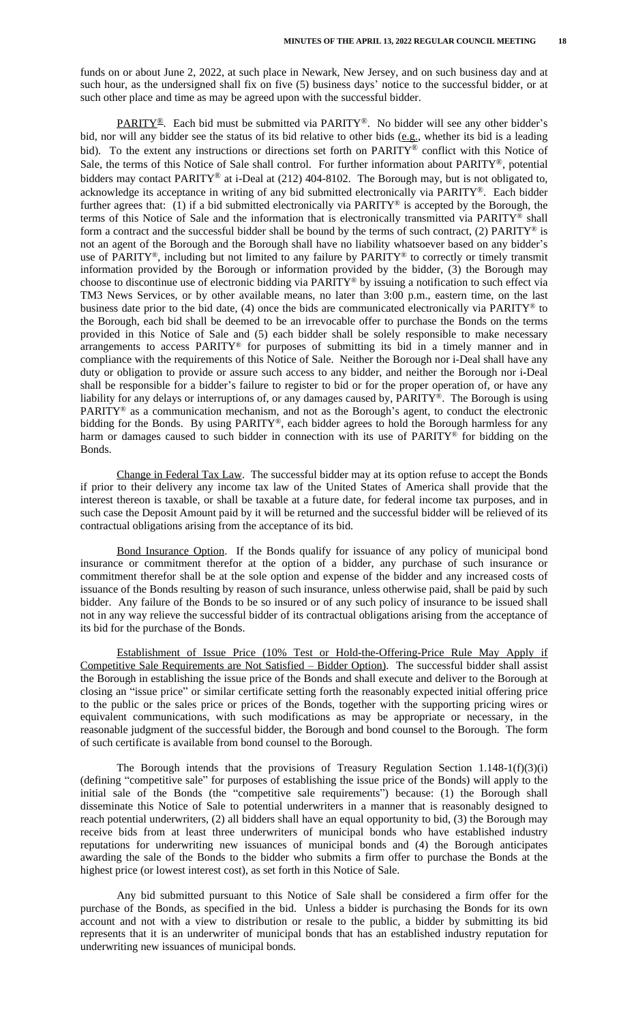funds on or about June 2, 2022, at such place in Newark, New Jersey, and on such business day and at such hour, as the undersigned shall fix on five (5) business days' notice to the successful bidder, or at such other place and time as may be agreed upon with the successful bidder.

PARITY®. Each bid must be submitted via PARITY®. No bidder will see any other bidder's bid, nor will any bidder see the status of its bid relative to other bids (e.g., whether its bid is a leading bid). To the extent any instructions or directions set forth on PARITY® conflict with this Notice of Sale, the terms of this Notice of Sale shall control. For further information about PARITY®, potential bidders may contact PARITY® at i-Deal at (212) 404-8102. The Borough may, but is not obligated to, acknowledge its acceptance in writing of any bid submitted electronically via PARITY®. Each bidder further agrees that: (1) if a bid submitted electronically via PARITY® is accepted by the Borough, the terms of this Notice of Sale and the information that is electronically transmitted via  $PARTY^{\otimes}$  shall form a contract and the successful bidder shall be bound by the terms of such contract, (2) PARITY® is not an agent of the Borough and the Borough shall have no liability whatsoever based on any bidder's use of PARITY®, including but not limited to any failure by PARITY® to correctly or timely transmit information provided by the Borough or information provided by the bidder, (3) the Borough may choose to discontinue use of electronic bidding via PARITY® by issuing a notification to such effect via TM3 News Services, or by other available means, no later than 3:00 p.m., eastern time, on the last business date prior to the bid date, (4) once the bids are communicated electronically via PARITY® to the Borough, each bid shall be deemed to be an irrevocable offer to purchase the Bonds on the terms provided in this Notice of Sale and (5) each bidder shall be solely responsible to make necessary arrangements to access PARITY® for purposes of submitting its bid in a timely manner and in compliance with the requirements of this Notice of Sale. Neither the Borough nor i-Deal shall have any duty or obligation to provide or assure such access to any bidder, and neither the Borough nor i-Deal shall be responsible for a bidder's failure to register to bid or for the proper operation of, or have any liability for any delays or interruptions of, or any damages caused by, PARITY®. The Borough is using PARITY® as a communication mechanism, and not as the Borough's agent, to conduct the electronic bidding for the Bonds. By using PARITY®, each bidder agrees to hold the Borough harmless for any harm or damages caused to such bidder in connection with its use of PARITY® for bidding on the Bonds.

Change in Federal Tax Law. The successful bidder may at its option refuse to accept the Bonds if prior to their delivery any income tax law of the United States of America shall provide that the interest thereon is taxable, or shall be taxable at a future date, for federal income tax purposes, and in such case the Deposit Amount paid by it will be returned and the successful bidder will be relieved of its contractual obligations arising from the acceptance of its bid.

Bond Insurance Option. If the Bonds qualify for issuance of any policy of municipal bond insurance or commitment therefor at the option of a bidder, any purchase of such insurance or commitment therefor shall be at the sole option and expense of the bidder and any increased costs of issuance of the Bonds resulting by reason of such insurance, unless otherwise paid, shall be paid by such bidder. Any failure of the Bonds to be so insured or of any such policy of insurance to be issued shall not in any way relieve the successful bidder of its contractual obligations arising from the acceptance of its bid for the purchase of the Bonds.

Establishment of Issue Price (10% Test or Hold-the-Offering-Price Rule May Apply if Competitive Sale Requirements are Not Satisfied – Bidder Option). The successful bidder shall assist the Borough in establishing the issue price of the Bonds and shall execute and deliver to the Borough at closing an "issue price" or similar certificate setting forth the reasonably expected initial offering price to the public or the sales price or prices of the Bonds, together with the supporting pricing wires or equivalent communications, with such modifications as may be appropriate or necessary, in the reasonable judgment of the successful bidder, the Borough and bond counsel to the Borough. The form of such certificate is available from bond counsel to the Borough.

The Borough intends that the provisions of Treasury Regulation Section  $1.148-1(f)(3)(i)$ (defining "competitive sale" for purposes of establishing the issue price of the Bonds) will apply to the initial sale of the Bonds (the "competitive sale requirements") because: (1) the Borough shall disseminate this Notice of Sale to potential underwriters in a manner that is reasonably designed to reach potential underwriters, (2) all bidders shall have an equal opportunity to bid, (3) the Borough may receive bids from at least three underwriters of municipal bonds who have established industry reputations for underwriting new issuances of municipal bonds and (4) the Borough anticipates awarding the sale of the Bonds to the bidder who submits a firm offer to purchase the Bonds at the highest price (or lowest interest cost), as set forth in this Notice of Sale.

Any bid submitted pursuant to this Notice of Sale shall be considered a firm offer for the purchase of the Bonds, as specified in the bid. Unless a bidder is purchasing the Bonds for its own account and not with a view to distribution or resale to the public, a bidder by submitting its bid represents that it is an underwriter of municipal bonds that has an established industry reputation for underwriting new issuances of municipal bonds.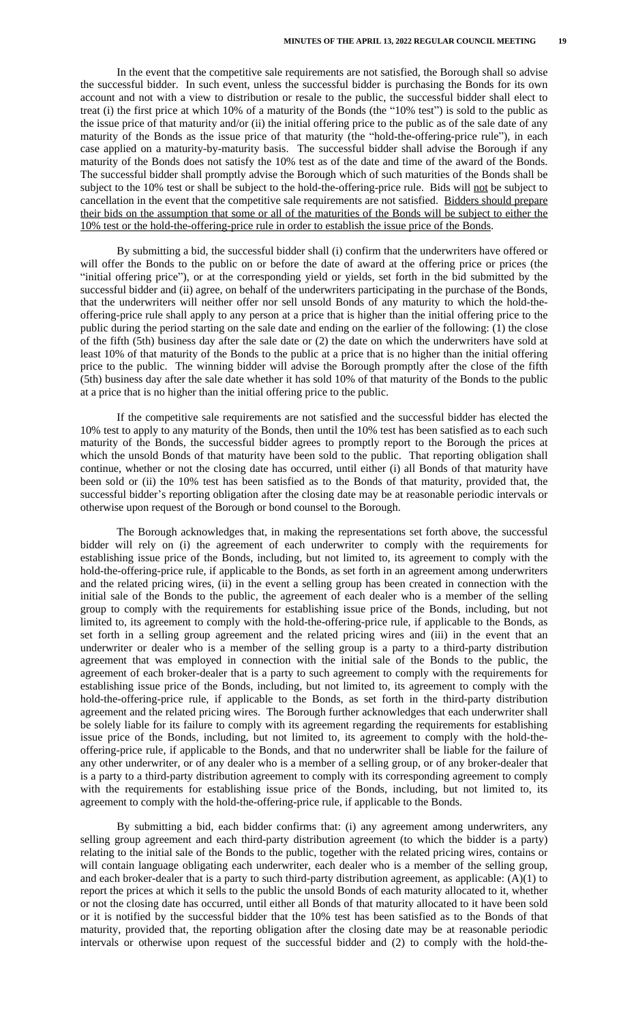In the event that the competitive sale requirements are not satisfied, the Borough shall so advise the successful bidder. In such event, unless the successful bidder is purchasing the Bonds for its own account and not with a view to distribution or resale to the public, the successful bidder shall elect to treat (i) the first price at which 10% of a maturity of the Bonds (the "10% test") is sold to the public as the issue price of that maturity and/or (ii) the initial offering price to the public as of the sale date of any maturity of the Bonds as the issue price of that maturity (the "hold-the-offering-price rule"), in each case applied on a maturity-by-maturity basis. The successful bidder shall advise the Borough if any maturity of the Bonds does not satisfy the 10% test as of the date and time of the award of the Bonds. The successful bidder shall promptly advise the Borough which of such maturities of the Bonds shall be subject to the 10% test or shall be subject to the hold-the-offering-price rule. Bids will not be subject to cancellation in the event that the competitive sale requirements are not satisfied. Bidders should prepare their bids on the assumption that some or all of the maturities of the Bonds will be subject to either the 10% test or the hold-the-offering-price rule in order to establish the issue price of the Bonds.

By submitting a bid, the successful bidder shall (i) confirm that the underwriters have offered or will offer the Bonds to the public on or before the date of award at the offering price or prices (the "initial offering price"), or at the corresponding yield or yields, set forth in the bid submitted by the successful bidder and (ii) agree, on behalf of the underwriters participating in the purchase of the Bonds, that the underwriters will neither offer nor sell unsold Bonds of any maturity to which the hold-theoffering-price rule shall apply to any person at a price that is higher than the initial offering price to the public during the period starting on the sale date and ending on the earlier of the following: (1) the close of the fifth (5th) business day after the sale date or (2) the date on which the underwriters have sold at least 10% of that maturity of the Bonds to the public at a price that is no higher than the initial offering price to the public. The winning bidder will advise the Borough promptly after the close of the fifth (5th) business day after the sale date whether it has sold 10% of that maturity of the Bonds to the public at a price that is no higher than the initial offering price to the public.

If the competitive sale requirements are not satisfied and the successful bidder has elected the 10% test to apply to any maturity of the Bonds, then until the 10% test has been satisfied as to each such maturity of the Bonds, the successful bidder agrees to promptly report to the Borough the prices at which the unsold Bonds of that maturity have been sold to the public. That reporting obligation shall continue, whether or not the closing date has occurred, until either (i) all Bonds of that maturity have been sold or (ii) the 10% test has been satisfied as to the Bonds of that maturity, provided that, the successful bidder's reporting obligation after the closing date may be at reasonable periodic intervals or otherwise upon request of the Borough or bond counsel to the Borough.

The Borough acknowledges that, in making the representations set forth above, the successful bidder will rely on (i) the agreement of each underwriter to comply with the requirements for establishing issue price of the Bonds, including, but not limited to, its agreement to comply with the hold-the-offering-price rule, if applicable to the Bonds, as set forth in an agreement among underwriters and the related pricing wires, (ii) in the event a selling group has been created in connection with the initial sale of the Bonds to the public, the agreement of each dealer who is a member of the selling group to comply with the requirements for establishing issue price of the Bonds, including, but not limited to, its agreement to comply with the hold-the-offering-price rule, if applicable to the Bonds, as set forth in a selling group agreement and the related pricing wires and (iii) in the event that an underwriter or dealer who is a member of the selling group is a party to a third-party distribution agreement that was employed in connection with the initial sale of the Bonds to the public, the agreement of each broker-dealer that is a party to such agreement to comply with the requirements for establishing issue price of the Bonds, including, but not limited to, its agreement to comply with the hold-the-offering-price rule, if applicable to the Bonds, as set forth in the third-party distribution agreement and the related pricing wires. The Borough further acknowledges that each underwriter shall be solely liable for its failure to comply with its agreement regarding the requirements for establishing issue price of the Bonds, including, but not limited to, its agreement to comply with the hold-theoffering-price rule, if applicable to the Bonds, and that no underwriter shall be liable for the failure of any other underwriter, or of any dealer who is a member of a selling group, or of any broker-dealer that is a party to a third-party distribution agreement to comply with its corresponding agreement to comply with the requirements for establishing issue price of the Bonds, including, but not limited to, its agreement to comply with the hold-the-offering-price rule, if applicable to the Bonds.

By submitting a bid, each bidder confirms that: (i) any agreement among underwriters, any selling group agreement and each third-party distribution agreement (to which the bidder is a party) relating to the initial sale of the Bonds to the public, together with the related pricing wires, contains or will contain language obligating each underwriter, each dealer who is a member of the selling group, and each broker-dealer that is a party to such third-party distribution agreement, as applicable: (A)(1) to report the prices at which it sells to the public the unsold Bonds of each maturity allocated to it, whether or not the closing date has occurred, until either all Bonds of that maturity allocated to it have been sold or it is notified by the successful bidder that the 10% test has been satisfied as to the Bonds of that maturity, provided that, the reporting obligation after the closing date may be at reasonable periodic intervals or otherwise upon request of the successful bidder and (2) to comply with the hold-the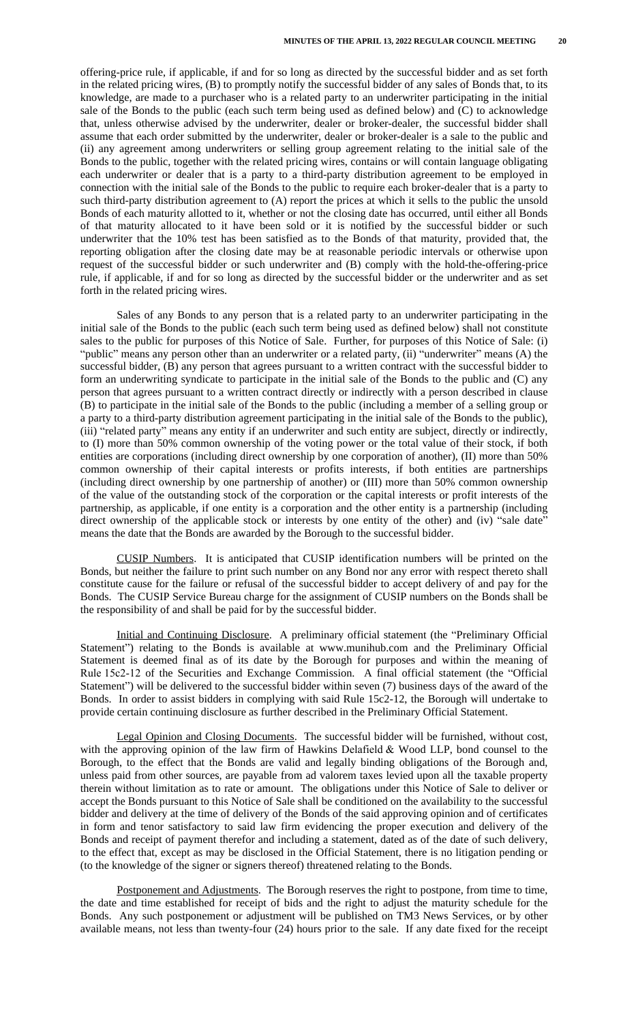offering-price rule, if applicable, if and for so long as directed by the successful bidder and as set forth in the related pricing wires, (B) to promptly notify the successful bidder of any sales of Bonds that, to its knowledge, are made to a purchaser who is a related party to an underwriter participating in the initial sale of the Bonds to the public (each such term being used as defined below) and (C) to acknowledge that, unless otherwise advised by the underwriter, dealer or broker-dealer, the successful bidder shall assume that each order submitted by the underwriter, dealer or broker-dealer is a sale to the public and (ii) any agreement among underwriters or selling group agreement relating to the initial sale of the Bonds to the public, together with the related pricing wires, contains or will contain language obligating each underwriter or dealer that is a party to a third-party distribution agreement to be employed in connection with the initial sale of the Bonds to the public to require each broker-dealer that is a party to such third-party distribution agreement to (A) report the prices at which it sells to the public the unsold Bonds of each maturity allotted to it, whether or not the closing date has occurred, until either all Bonds of that maturity allocated to it have been sold or it is notified by the successful bidder or such underwriter that the 10% test has been satisfied as to the Bonds of that maturity, provided that, the reporting obligation after the closing date may be at reasonable periodic intervals or otherwise upon request of the successful bidder or such underwriter and (B) comply with the hold-the-offering-price rule, if applicable, if and for so long as directed by the successful bidder or the underwriter and as set forth in the related pricing wires.

Sales of any Bonds to any person that is a related party to an underwriter participating in the initial sale of the Bonds to the public (each such term being used as defined below) shall not constitute sales to the public for purposes of this Notice of Sale. Further, for purposes of this Notice of Sale: (i) "public" means any person other than an underwriter or a related party, (ii) "underwriter" means (A) the successful bidder, (B) any person that agrees pursuant to a written contract with the successful bidder to form an underwriting syndicate to participate in the initial sale of the Bonds to the public and (C) any person that agrees pursuant to a written contract directly or indirectly with a person described in clause (B) to participate in the initial sale of the Bonds to the public (including a member of a selling group or a party to a third-party distribution agreement participating in the initial sale of the Bonds to the public), (iii) "related party" means any entity if an underwriter and such entity are subject, directly or indirectly, to (I) more than 50% common ownership of the voting power or the total value of their stock, if both entities are corporations (including direct ownership by one corporation of another), (II) more than 50% common ownership of their capital interests or profits interests, if both entities are partnerships (including direct ownership by one partnership of another) or (III) more than 50% common ownership of the value of the outstanding stock of the corporation or the capital interests or profit interests of the partnership, as applicable, if one entity is a corporation and the other entity is a partnership (including direct ownership of the applicable stock or interests by one entity of the other) and (iv) "sale date" means the date that the Bonds are awarded by the Borough to the successful bidder.

CUSIP Numbers. It is anticipated that CUSIP identification numbers will be printed on the Bonds, but neither the failure to print such number on any Bond nor any error with respect thereto shall constitute cause for the failure or refusal of the successful bidder to accept delivery of and pay for the Bonds. The CUSIP Service Bureau charge for the assignment of CUSIP numbers on the Bonds shall be the responsibility of and shall be paid for by the successful bidder.

Initial and Continuing Disclosure. A preliminary official statement (the "Preliminary Official Statement") relating to the Bonds is available at www.munihub.com and the Preliminary Official Statement is deemed final as of its date by the Borough for purposes and within the meaning of Rule 15c2-12 of the Securities and Exchange Commission. A final official statement (the "Official Statement") will be delivered to the successful bidder within seven (7) business days of the award of the Bonds. In order to assist bidders in complying with said Rule 15c2-12, the Borough will undertake to provide certain continuing disclosure as further described in the Preliminary Official Statement.

Legal Opinion and Closing Documents. The successful bidder will be furnished, without cost, with the approving opinion of the law firm of Hawkins Delafield  $& Wood LLP$ , bond counsel to the Borough, to the effect that the Bonds are valid and legally binding obligations of the Borough and, unless paid from other sources, are payable from ad valorem taxes levied upon all the taxable property therein without limitation as to rate or amount. The obligations under this Notice of Sale to deliver or accept the Bonds pursuant to this Notice of Sale shall be conditioned on the availability to the successful bidder and delivery at the time of delivery of the Bonds of the said approving opinion and of certificates in form and tenor satisfactory to said law firm evidencing the proper execution and delivery of the Bonds and receipt of payment therefor and including a statement, dated as of the date of such delivery, to the effect that, except as may be disclosed in the Official Statement, there is no litigation pending or (to the knowledge of the signer or signers thereof) threatened relating to the Bonds.

Postponement and Adjustments. The Borough reserves the right to postpone, from time to time, the date and time established for receipt of bids and the right to adjust the maturity schedule for the Bonds. Any such postponement or adjustment will be published on TM3 News Services, or by other available means, not less than twenty-four (24) hours prior to the sale. If any date fixed for the receipt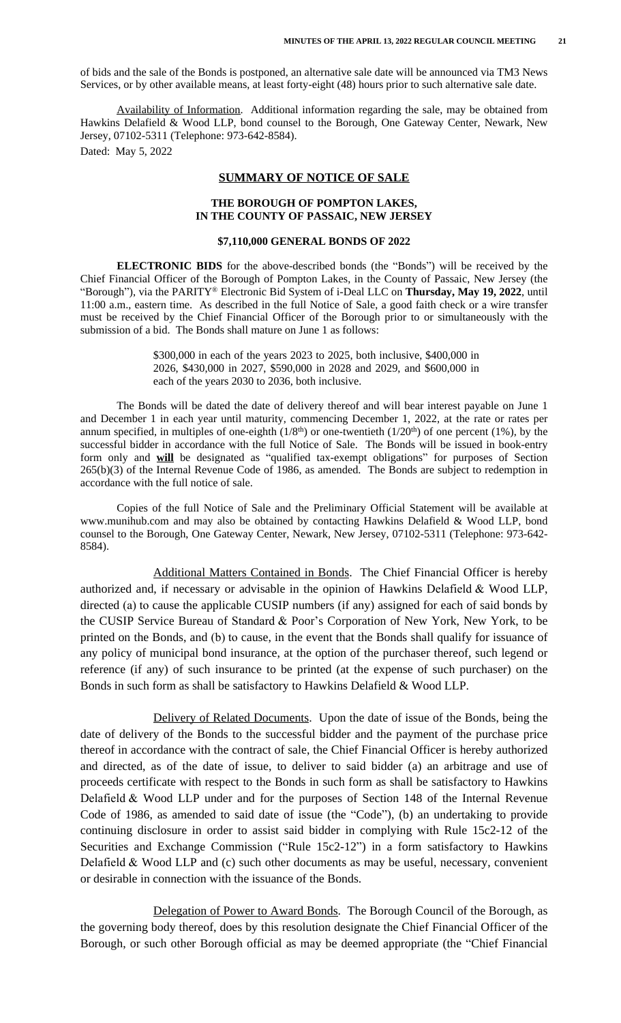of bids and the sale of the Bonds is postponed, an alternative sale date will be announced via TM3 News Services, or by other available means, at least forty-eight (48) hours prior to such alternative sale date.

Availability of Information. Additional information regarding the sale, may be obtained from Hawkins Delafield & Wood LLP, bond counsel to the Borough, One Gateway Center, Newark, New Jersey, 07102-5311 (Telephone: 973-642-8584). Dated: May 5, 2022

#### **SUMMARY OF NOTICE OF SALE**

#### **THE BOROUGH OF POMPTON LAKES, IN THE COUNTY OF PASSAIC, NEW JERSEY**

#### **\$7,110,000 GENERAL BONDS OF 2022**

**ELECTRONIC BIDS** for the above-described bonds (the "Bonds") will be received by the Chief Financial Officer of the Borough of Pompton Lakes, in the County of Passaic, New Jersey (the "Borough"), via the PARITY® Electronic Bid System of i-Deal LLC on **Thursday, May 19, 2022**, until 11:00 a.m., eastern time. As described in the full Notice of Sale, a good faith check or a wire transfer must be received by the Chief Financial Officer of the Borough prior to or simultaneously with the submission of a bid. The Bonds shall mature on June 1 as follows:

> \$300,000 in each of the years 2023 to 2025, both inclusive, \$400,000 in 2026, \$430,000 in 2027, \$590,000 in 2028 and 2029, and \$600,000 in each of the years 2030 to 2036, both inclusive.

The Bonds will be dated the date of delivery thereof and will bear interest payable on June 1 and December 1 in each year until maturity, commencing December 1, 2022, at the rate or rates per annum specified, in multiples of one-eighth  $(1/8<sup>th</sup>)$  or one-twentieth  $(1/20<sup>th</sup>)$  of one percent (1%), by the successful bidder in accordance with the full Notice of Sale. The Bonds will be issued in book-entry form only and **will** be designated as "qualified tax-exempt obligations" for purposes of Section 265(b)(3) of the Internal Revenue Code of 1986, as amended. The Bonds are subject to redemption in accordance with the full notice of sale.

Copies of the full Notice of Sale and the Preliminary Official Statement will be available at www.munihub.com and may also be obtained by contacting Hawkins Delafield & Wood LLP, bond counsel to the Borough, One Gateway Center, Newark, New Jersey, 07102-5311 (Telephone: 973-642- 8584).

Additional Matters Contained in Bonds. The Chief Financial Officer is hereby authorized and, if necessary or advisable in the opinion of Hawkins Delafield  $&$  Wood LLP, directed (a) to cause the applicable CUSIP numbers (if any) assigned for each of said bonds by the CUSIP Service Bureau of Standard & Poor's Corporation of New York, New York, to be printed on the Bonds, and (b) to cause, in the event that the Bonds shall qualify for issuance of any policy of municipal bond insurance, at the option of the purchaser thereof, such legend or reference (if any) of such insurance to be printed (at the expense of such purchaser) on the Bonds in such form as shall be satisfactory to Hawkins Delafield & Wood LLP.

Delivery of Related Documents. Upon the date of issue of the Bonds, being the date of delivery of the Bonds to the successful bidder and the payment of the purchase price thereof in accordance with the contract of sale, the Chief Financial Officer is hereby authorized and directed, as of the date of issue, to deliver to said bidder (a) an arbitrage and use of proceeds certificate with respect to the Bonds in such form as shall be satisfactory to Hawkins Delafield & Wood LLP under and for the purposes of Section 148 of the Internal Revenue Code of 1986, as amended to said date of issue (the "Code"), (b) an undertaking to provide continuing disclosure in order to assist said bidder in complying with Rule 15c2-12 of the Securities and Exchange Commission ("Rule 15c2-12") in a form satisfactory to Hawkins Delafield & Wood LLP and (c) such other documents as may be useful, necessary, convenient or desirable in connection with the issuance of the Bonds.

Delegation of Power to Award Bonds. The Borough Council of the Borough, as the governing body thereof, does by this resolution designate the Chief Financial Officer of the Borough, or such other Borough official as may be deemed appropriate (the "Chief Financial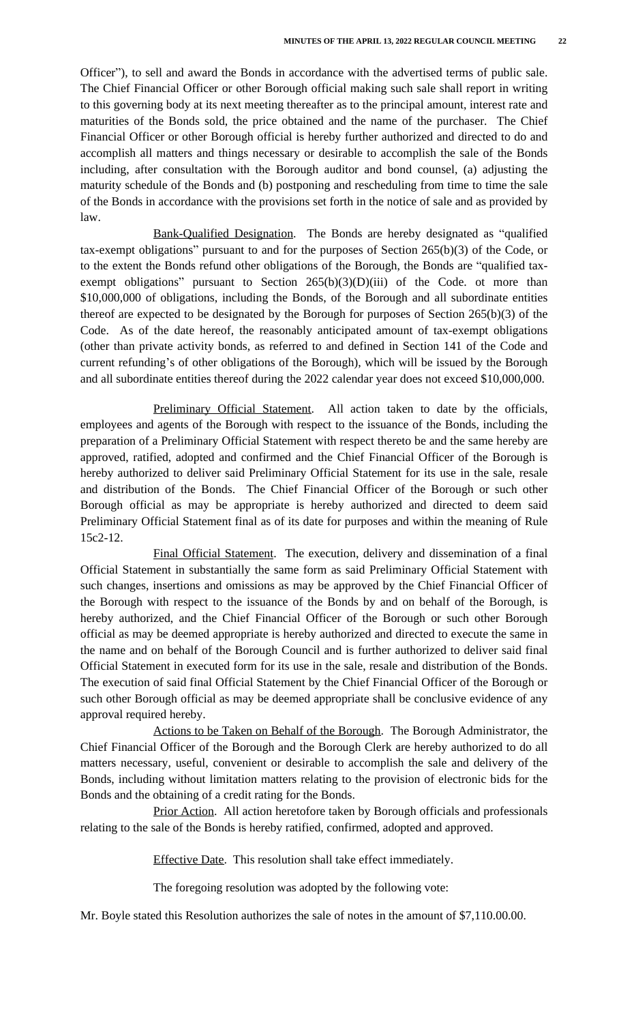Officer"), to sell and award the Bonds in accordance with the advertised terms of public sale. The Chief Financial Officer or other Borough official making such sale shall report in writing to this governing body at its next meeting thereafter as to the principal amount, interest rate and maturities of the Bonds sold, the price obtained and the name of the purchaser. The Chief Financial Officer or other Borough official is hereby further authorized and directed to do and accomplish all matters and things necessary or desirable to accomplish the sale of the Bonds including, after consultation with the Borough auditor and bond counsel, (a) adjusting the maturity schedule of the Bonds and (b) postponing and rescheduling from time to time the sale of the Bonds in accordance with the provisions set forth in the notice of sale and as provided by law.

Bank-Qualified Designation. The Bonds are hereby designated as "qualified tax-exempt obligations" pursuant to and for the purposes of Section 265(b)(3) of the Code, or to the extent the Bonds refund other obligations of the Borough, the Bonds are "qualified taxexempt obligations" pursuant to Section  $265(b)(3)(D)(iii)$  of the Code. ot more than \$10,000,000 of obligations, including the Bonds, of the Borough and all subordinate entities thereof are expected to be designated by the Borough for purposes of Section 265(b)(3) of the Code. As of the date hereof, the reasonably anticipated amount of tax-exempt obligations (other than private activity bonds, as referred to and defined in Section 141 of the Code and current refunding's of other obligations of the Borough), which will be issued by the Borough and all subordinate entities thereof during the 2022 calendar year does not exceed \$10,000,000.

Preliminary Official Statement. All action taken to date by the officials, employees and agents of the Borough with respect to the issuance of the Bonds, including the preparation of a Preliminary Official Statement with respect thereto be and the same hereby are approved, ratified, adopted and confirmed and the Chief Financial Officer of the Borough is hereby authorized to deliver said Preliminary Official Statement for its use in the sale, resale and distribution of the Bonds. The Chief Financial Officer of the Borough or such other Borough official as may be appropriate is hereby authorized and directed to deem said Preliminary Official Statement final as of its date for purposes and within the meaning of Rule 15c2-12.

Final Official Statement. The execution, delivery and dissemination of a final Official Statement in substantially the same form as said Preliminary Official Statement with such changes, insertions and omissions as may be approved by the Chief Financial Officer of the Borough with respect to the issuance of the Bonds by and on behalf of the Borough, is hereby authorized, and the Chief Financial Officer of the Borough or such other Borough official as may be deemed appropriate is hereby authorized and directed to execute the same in the name and on behalf of the Borough Council and is further authorized to deliver said final Official Statement in executed form for its use in the sale, resale and distribution of the Bonds. The execution of said final Official Statement by the Chief Financial Officer of the Borough or such other Borough official as may be deemed appropriate shall be conclusive evidence of any approval required hereby.

Actions to be Taken on Behalf of the Borough. The Borough Administrator, the Chief Financial Officer of the Borough and the Borough Clerk are hereby authorized to do all matters necessary, useful, convenient or desirable to accomplish the sale and delivery of the Bonds, including without limitation matters relating to the provision of electronic bids for the Bonds and the obtaining of a credit rating for the Bonds.

Prior Action. All action heretofore taken by Borough officials and professionals relating to the sale of the Bonds is hereby ratified, confirmed, adopted and approved.

Effective Date. This resolution shall take effect immediately.

The foregoing resolution was adopted by the following vote:

Mr. Boyle stated this Resolution authorizes the sale of notes in the amount of \$7,110.00.00.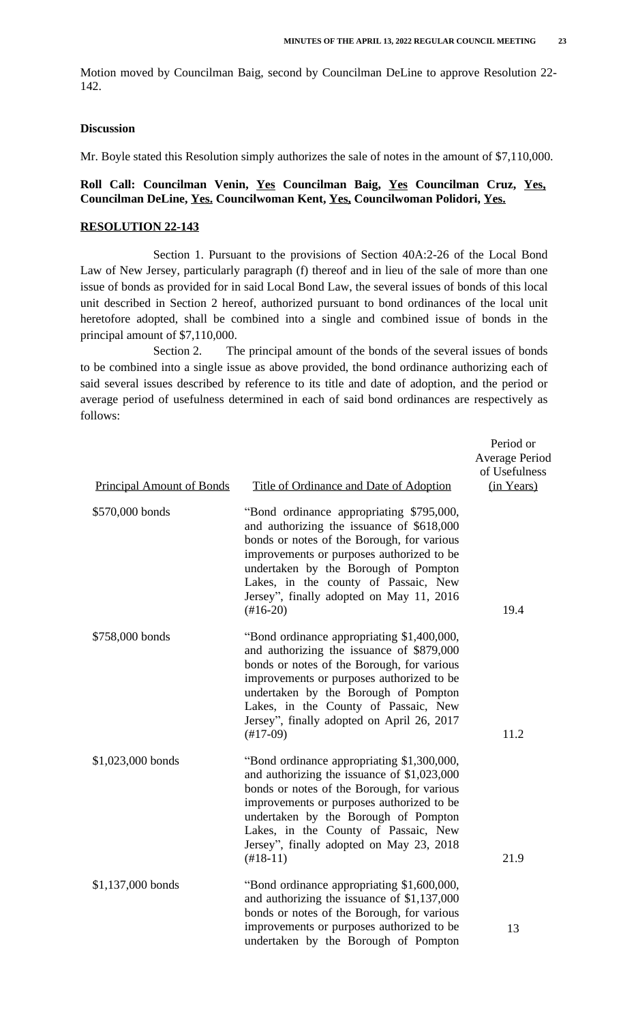Motion moved by Councilman Baig, second by Councilman DeLine to approve Resolution 22- 142.

#### **Discussion**

Mr. Boyle stated this Resolution simply authorizes the sale of notes in the amount of \$7,110,000.

## **Roll Call: Councilman Venin, Yes Councilman Baig, Yes Councilman Cruz, Yes, Councilman DeLine, Yes. Councilwoman Kent, Yes, Councilwoman Polidori, Yes.**

#### **RESOLUTION 22-143**

Section 1. Pursuant to the provisions of Section 40A:2-26 of the Local Bond Law of New Jersey, particularly paragraph (f) thereof and in lieu of the sale of more than one issue of bonds as provided for in said Local Bond Law, the several issues of bonds of this local unit described in Section 2 hereof, authorized pursuant to bond ordinances of the local unit heretofore adopted, shall be combined into a single and combined issue of bonds in the principal amount of \$7,110,000.

Section 2. The principal amount of the bonds of the several issues of bonds to be combined into a single issue as above provided, the bond ordinance authorizing each of said several issues described by reference to its title and date of adoption, and the period or average period of usefulness determined in each of said bond ordinances are respectively as follows:

| <b>Principal Amount of Bonds</b> | Title of Ordinance and Date of Adoption                                                                                                                                                                                                                                                                                                | Period or<br><b>Average Period</b><br>of Usefulness<br>(in Years) |
|----------------------------------|----------------------------------------------------------------------------------------------------------------------------------------------------------------------------------------------------------------------------------------------------------------------------------------------------------------------------------------|-------------------------------------------------------------------|
| \$570,000 bonds                  | "Bond ordinance appropriating \$795,000,<br>and authorizing the issuance of \$618,000<br>bonds or notes of the Borough, for various<br>improvements or purposes authorized to be<br>undertaken by the Borough of Pompton<br>Lakes, in the county of Passaic, New<br>Jersey", finally adopted on May 11, 2016<br>$(\text{\#}16-20)$     | 19.4                                                              |
| \$758,000 bonds                  | "Bond ordinance appropriating \$1,400,000,<br>and authorizing the issuance of \$879,000<br>bonds or notes of the Borough, for various<br>improvements or purposes authorized to be<br>undertaken by the Borough of Pompton<br>Lakes, in the County of Passaic, New<br>Jersey", finally adopted on April 26, 2017<br>$(\text{\#}17-09)$ | 11.2                                                              |
| \$1,023,000 bonds                | "Bond ordinance appropriating \$1,300,000,<br>and authorizing the issuance of \$1,023,000<br>bonds or notes of the Borough, for various<br>improvements or purposes authorized to be<br>undertaken by the Borough of Pompton<br>Lakes, in the County of Passaic, New<br>Jersey", finally adopted on May 23, 2018<br>$(\text{\#}18-11)$ | 21.9                                                              |
| \$1,137,000 bonds                | "Bond ordinance appropriating \$1,600,000,<br>and authorizing the issuance of \$1,137,000<br>bonds or notes of the Borough, for various                                                                                                                                                                                                |                                                                   |
|                                  | improvements or purposes authorized to be<br>undertaken by the Borough of Pompton                                                                                                                                                                                                                                                      | 13                                                                |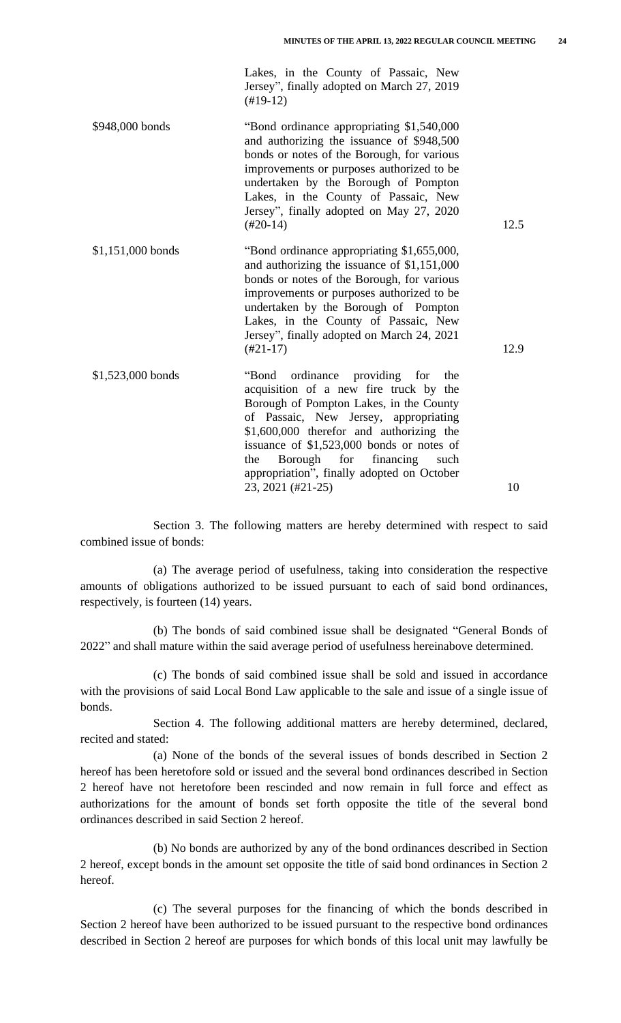Lakes, in the County of Passaic, New Jersey", finally adopted on March 27, 2019 (#19-12)

\$948,000 bonds "Bond ordinance appropriating \$1,540,000 and authorizing the issuance of \$948,500 bonds or notes of the Borough, for various improvements or purposes authorized to be undertaken by the Borough of Pompton Lakes, in the County of Passaic, New Jersey", finally adopted on May 27, 2020 (#20-14) 12.5

\$1,151,000 bonds "Bond ordinance appropriating \$1,655,000, and authorizing the issuance of \$1,151,000 bonds or notes of the Borough, for various improvements or purposes authorized to be undertaken by the Borough of Pompton Lakes, in the County of Passaic, New Jersey", finally adopted on March 24, 2021 (#21-17) 12.9

\$1,523,000 bonds "Bond ordinance providing for the acquisition of a new fire truck by the Borough of Pompton Lakes, in the County of Passaic, New Jersey, appropriating \$1,600,000 therefor and authorizing the issuance of \$1,523,000 bonds or notes of the Borough for financing such appropriation", finally adopted on October 23, 2021 (#21-25) 10

Section 3. The following matters are hereby determined with respect to said combined issue of bonds:

(a) The average period of usefulness, taking into consideration the respective amounts of obligations authorized to be issued pursuant to each of said bond ordinances, respectively, is fourteen (14) years.

(b) The bonds of said combined issue shall be designated "General Bonds of 2022" and shall mature within the said average period of usefulness hereinabove determined.

(c) The bonds of said combined issue shall be sold and issued in accordance with the provisions of said Local Bond Law applicable to the sale and issue of a single issue of bonds.

Section 4. The following additional matters are hereby determined, declared, recited and stated:

(a) None of the bonds of the several issues of bonds described in Section 2 hereof has been heretofore sold or issued and the several bond ordinances described in Section 2 hereof have not heretofore been rescinded and now remain in full force and effect as authorizations for the amount of bonds set forth opposite the title of the several bond ordinances described in said Section 2 hereof.

(b) No bonds are authorized by any of the bond ordinances described in Section 2 hereof, except bonds in the amount set opposite the title of said bond ordinances in Section 2 hereof.

(c) The several purposes for the financing of which the bonds described in Section 2 hereof have been authorized to be issued pursuant to the respective bond ordinances described in Section 2 hereof are purposes for which bonds of this local unit may lawfully be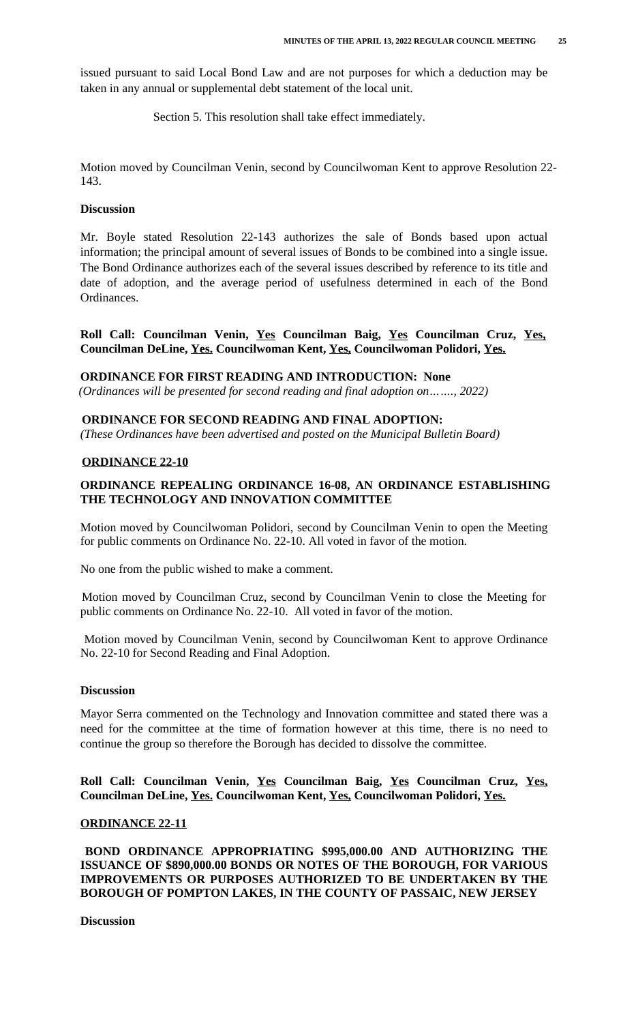issued pursuant to said Local Bond Law and are not purposes for which a deduction may be taken in any annual or supplemental debt statement of the local unit.

Section 5. This resolution shall take effect immediately.

Motion moved by Councilman Venin, second by Councilwoman Kent to approve Resolution 22- 143.

#### **Discussion**

Mr. Boyle stated Resolution 22-143 authorizes the sale of Bonds based upon actual information; the principal amount of several issues of Bonds to be combined into a single issue. The Bond Ordinance authorizes each of the several issues described by reference to its title and date of adoption, and the average period of usefulness determined in each of the Bond Ordinances.

**Roll Call: Councilman Venin, Yes Councilman Baig, Yes Councilman Cruz, Yes, Councilman DeLine, Yes. Councilwoman Kent, Yes, Councilwoman Polidori, Yes.**

## **ORDINANCE FOR FIRST READING AND INTRODUCTION: None**

 *(Ordinances will be presented for second reading and final adoption on……., 2022)*

## **ORDINANCE FOR SECOND READING AND FINAL ADOPTION:**

*(These Ordinances have been advertised and posted on the Municipal Bulletin Board)*

## **ORDINANCE 22-10**

# **ORDINANCE REPEALING ORDINANCE 16-08, AN ORDINANCE ESTABLISHING THE TECHNOLOGY AND INNOVATION COMMITTEE**

Motion moved by Councilwoman Polidori, second by Councilman Venin to open the Meeting for public comments on Ordinance No. 22-10. All voted in favor of the motion.

No one from the public wished to make a comment.

Motion moved by Councilman Cruz, second by Councilman Venin to close the Meeting for public comments on Ordinance No. 22-10. All voted in favor of the motion.

Motion moved by Councilman Venin, second by Councilwoman Kent to approve Ordinance No. 22-10 for Second Reading and Final Adoption.

#### **Discussion**

Mayor Serra commented on the Technology and Innovation committee and stated there was a need for the committee at the time of formation however at this time, there is no need to continue the group so therefore the Borough has decided to dissolve the committee.

**Roll Call: Councilman Venin, Yes Councilman Baig, Yes Councilman Cruz, Yes, Councilman DeLine, Yes. Councilwoman Kent, Yes, Councilwoman Polidori, Yes.**

#### **ORDINANCE 22-11**

**BOND ORDINANCE APPROPRIATING \$995,000.00 AND AUTHORIZING THE ISSUANCE OF \$890,000.00 BONDS OR NOTES OF THE BOROUGH, FOR VARIOUS IMPROVEMENTS OR PURPOSES AUTHORIZED TO BE UNDERTAKEN BY THE BOROUGH OF POMPTON LAKES, IN THE COUNTY OF PASSAIC, NEW JERSEY** 

 **Discussion**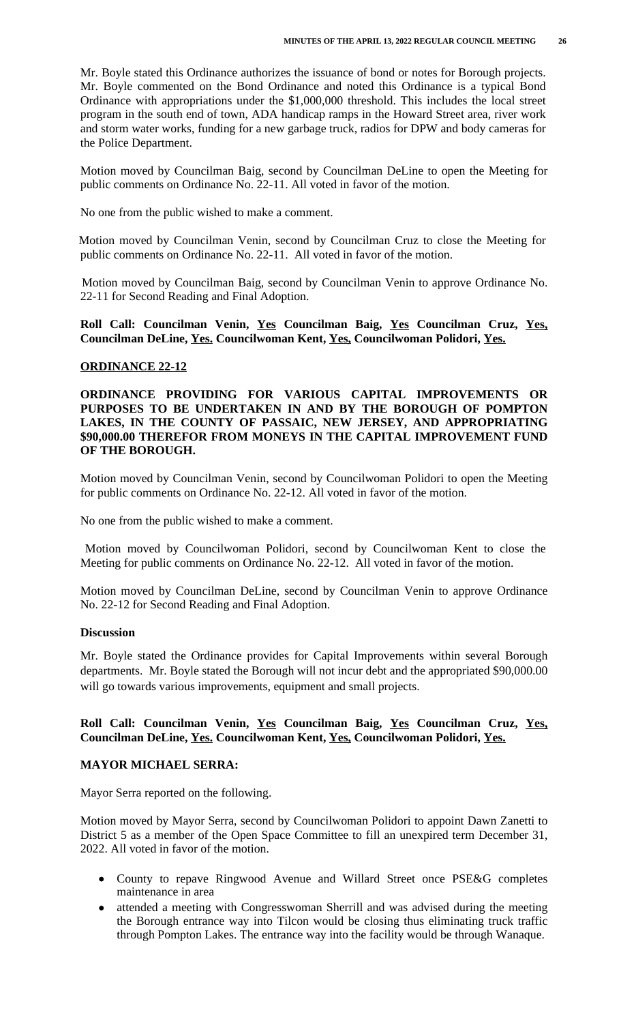Mr. Boyle stated this Ordinance authorizes the issuance of bond or notes for Borough projects. Mr. Boyle commented on the Bond Ordinance and noted this Ordinance is a typical Bond Ordinance with appropriations under the \$1,000,000 threshold. This includes the local street program in the south end of town, ADA handicap ramps in the Howard Street area, river work and storm water works, funding for a new garbage truck, radios for DPW and body cameras for the Police Department.

Motion moved by Councilman Baig, second by Councilman DeLine to open the Meeting for public comments on Ordinance No. 22-11. All voted in favor of the motion.

No one from the public wished to make a comment.

Motion moved by Councilman Venin, second by Councilman Cruz to close the Meeting for public comments on Ordinance No. 22-11. All voted in favor of the motion.

Motion moved by Councilman Baig, second by Councilman Venin to approve Ordinance No. 22-11 for Second Reading and Final Adoption.

**Roll Call: Councilman Venin, Yes Councilman Baig, Yes Councilman Cruz, Yes, Councilman DeLine, Yes. Councilwoman Kent, Yes, Councilwoman Polidori, Yes.**

## **ORDINANCE 22-12**

## **ORDINANCE PROVIDING FOR VARIOUS CAPITAL IMPROVEMENTS OR PURPOSES TO BE UNDERTAKEN IN AND BY THE BOROUGH OF POMPTON LAKES, IN THE COUNTY OF PASSAIC, NEW JERSEY, AND APPROPRIATING \$90,000.00 THEREFOR FROM MONEYS IN THE CAPITAL IMPROVEMENT FUND OF THE BOROUGH.**

Motion moved by Councilman Venin, second by Councilwoman Polidori to open the Meeting for public comments on Ordinance No. 22-12. All voted in favor of the motion.

No one from the public wished to make a comment.

Motion moved by Councilwoman Polidori, second by Councilwoman Kent to close the Meeting for public comments on Ordinance No. 22-12. All voted in favor of the motion.

Motion moved by Councilman DeLine, second by Councilman Venin to approve Ordinance No. 22-12 for Second Reading and Final Adoption.

#### **Discussion**

Mr. Boyle stated the Ordinance provides for Capital Improvements within several Borough departments. Mr. Boyle stated the Borough will not incur debt and the appropriated \$90,000.00 will go towards various improvements, equipment and small projects.

## **Roll Call: Councilman Venin, Yes Councilman Baig, Yes Councilman Cruz, Yes, Councilman DeLine, Yes. Councilwoman Kent, Yes, Councilwoman Polidori, Yes.**

## **MAYOR MICHAEL SERRA:**

Mayor Serra reported on the following.

Motion moved by Mayor Serra, second by Councilwoman Polidori to appoint Dawn Zanetti to District 5 as a member of the Open Space Committee to fill an unexpired term December 31, 2022. All voted in favor of the motion.

- County to repave Ringwood Avenue and Willard Street once PSE&G completes maintenance in area
- attended a meeting with Congresswoman Sherrill and was advised during the meeting the Borough entrance way into Tilcon would be closing thus eliminating truck traffic through Pompton Lakes. The entrance way into the facility would be through Wanaque.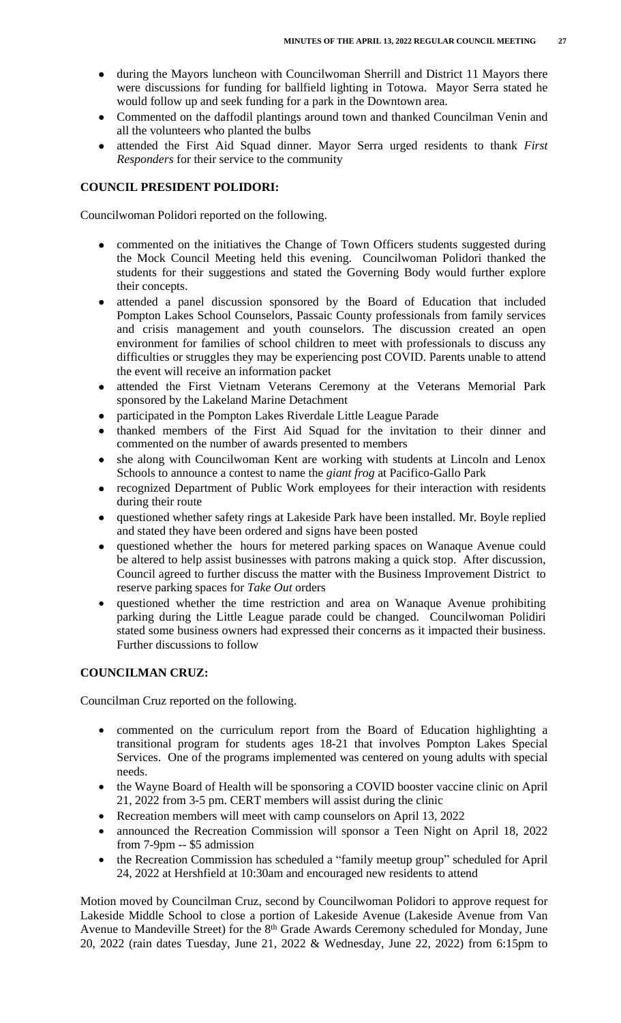- during the Mayors luncheon with Councilwoman Sherrill and District 11 Mayors there were discussions for funding for ballfield lighting in Totowa. Mayor Serra stated he would follow up and seek funding for a park in the Downtown area.
- Commented on the daffodil plantings around town and thanked Councilman Venin and all the volunteers who planted the bulbs
- attended the First Aid Squad dinner. Mayor Serra urged residents to thank *First Responders* for their service to the community

# **COUNCIL PRESIDENT POLIDORI:**

Councilwoman Polidori reported on the following.

- commented on the initiatives the Change of Town Officers students suggested during the Mock Council Meeting held this evening. Councilwoman Polidori thanked the students for their suggestions and stated the Governing Body would further explore their concepts.
- attended a panel discussion sponsored by the Board of Education that included Pompton Lakes School Counselors, Passaic County professionals from family services and crisis management and youth counselors. The discussion created an open environment for families of school children to meet with professionals to discuss any difficulties or struggles they may be experiencing post COVID. Parents unable to attend the event will receive an information packet
- attended the First Vietnam Veterans Ceremony at the Veterans Memorial Park sponsored by the Lakeland Marine Detachment
- participated in the Pompton Lakes Riverdale Little League Parade
- thanked members of the First Aid Squad for the invitation to their dinner and commented on the number of awards presented to members
- she along with Councilwoman Kent are working with students at Lincoln and Lenox Schools to announce a contest to name the *giant frog* at Pacifico-Gallo Park
- recognized Department of Public Work employees for their interaction with residents during their route
- questioned whether safety rings at Lakeside Park have been installed. Mr. Boyle replied and stated they have been ordered and signs have been posted
- questioned whether the hours for metered parking spaces on Wanaque Avenue could be altered to help assist businesses with patrons making a quick stop. After discussion, Council agreed to further discuss the matter with the Business Improvement District to reserve parking spaces for *Take Out* orders
- questioned whether the time restriction and area on Wanaque Avenue prohibiting parking during the Little League parade could be changed. Councilwoman Polidiri stated some business owners had expressed their concerns as it impacted their business. Further discussions to follow

## **COUNCILMAN CRUZ:**

Councilman Cruz reported on the following.

- commented on the curriculum report from the Board of Education highlighting a transitional program for students ages 18-21 that involves Pompton Lakes Special Services. One of the programs implemented was centered on young adults with special needs.
- the Wayne Board of Health will be sponsoring a COVID booster vaccine clinic on April 21, 2022 from 3-5 pm. CERT members will assist during the clinic
- Recreation members will meet with camp counselors on April 13, 2022
- announced the Recreation Commission will sponsor a Teen Night on April 18, 2022 from 7-9pm -- \$5 admission
- the Recreation Commission has scheduled a "family meetup group" scheduled for April 24, 2022 at Hershfield at 10:30am and encouraged new residents to attend

Motion moved by Councilman Cruz, second by Councilwoman Polidori to approve request for Lakeside Middle School to close a portion of Lakeside Avenue (Lakeside Avenue from Van Avenue to Mandeville Street) for the 8<sup>th</sup> Grade Awards Ceremony scheduled for Monday, June 20, 2022 (rain dates Tuesday, June 21, 2022 & Wednesday, June 22, 2022) from 6:15pm to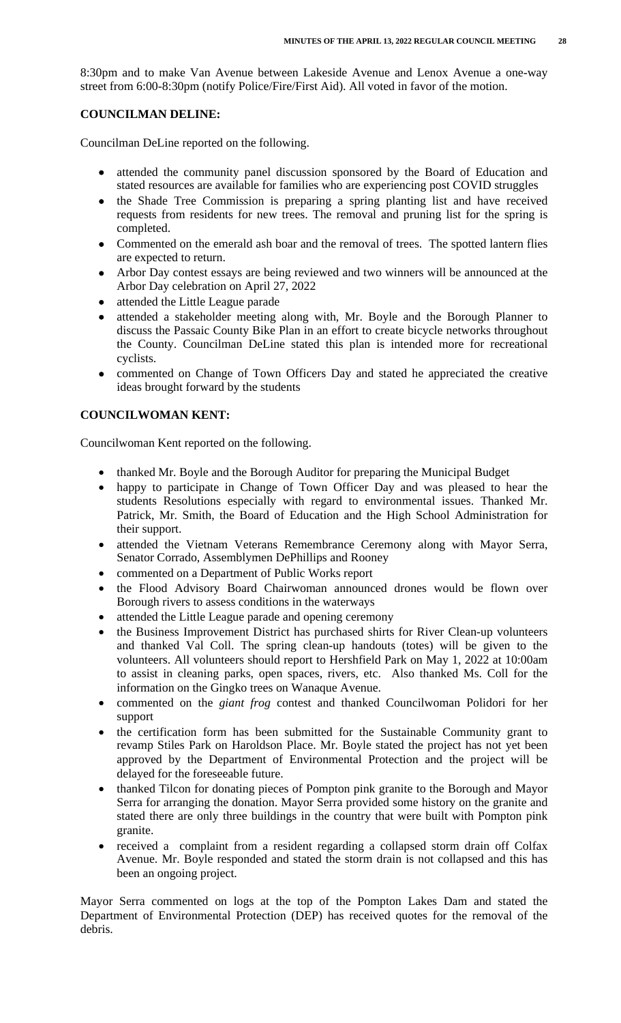8:30pm and to make Van Avenue between Lakeside Avenue and Lenox Avenue a one-way street from 6:00-8:30pm (notify Police/Fire/First Aid). All voted in favor of the motion.

## **COUNCILMAN DELINE:**

Councilman DeLine reported on the following.

- attended the community panel discussion sponsored by the Board of Education and stated resources are available for families who are experiencing post COVID struggles
- the Shade Tree Commission is preparing a spring planting list and have received requests from residents for new trees. The removal and pruning list for the spring is completed.
- Commented on the emerald ash boar and the removal of trees. The spotted lantern flies are expected to return.
- Arbor Day contest essays are being reviewed and two winners will be announced at the Arbor Day celebration on April 27, 2022
- attended the Little League parade
- attended a stakeholder meeting along with, Mr. Boyle and the Borough Planner to discuss the Passaic County Bike Plan in an effort to create bicycle networks throughout the County. Councilman DeLine stated this plan is intended more for recreational cyclists.
- commented on Change of Town Officers Day and stated he appreciated the creative ideas brought forward by the students

# **COUNCILWOMAN KENT:**

Councilwoman Kent reported on the following.

- thanked Mr. Boyle and the Borough Auditor for preparing the Municipal Budget
- happy to participate in Change of Town Officer Day and was pleased to hear the students Resolutions especially with regard to environmental issues. Thanked Mr. Patrick, Mr. Smith, the Board of Education and the High School Administration for their support.
- attended the Vietnam Veterans Remembrance Ceremony along with Mayor Serra, Senator Corrado, Assemblymen DePhillips and Rooney
- commented on a Department of Public Works report
- the Flood Advisory Board Chairwoman announced drones would be flown over Borough rivers to assess conditions in the waterways
- attended the Little League parade and opening ceremony
- the Business Improvement District has purchased shirts for River Clean-up volunteers and thanked Val Coll. The spring clean-up handouts (totes) will be given to the volunteers. All volunteers should report to Hershfield Park on May 1, 2022 at 10:00am to assist in cleaning parks, open spaces, rivers, etc. Also thanked Ms. Coll for the information on the Gingko trees on Wanaque Avenue.
- commented on the *giant frog* contest and thanked Councilwoman Polidori for her support
- the certification form has been submitted for the Sustainable Community grant to revamp Stiles Park on Haroldson Place. Mr. Boyle stated the project has not yet been approved by the Department of Environmental Protection and the project will be delayed for the foreseeable future.
- thanked Tilcon for donating pieces of Pompton pink granite to the Borough and Mayor Serra for arranging the donation. Mayor Serra provided some history on the granite and stated there are only three buildings in the country that were built with Pompton pink granite.
- received a complaint from a resident regarding a collapsed storm drain off Colfax Avenue. Mr. Boyle responded and stated the storm drain is not collapsed and this has been an ongoing project.

Mayor Serra commented on logs at the top of the Pompton Lakes Dam and stated the Department of Environmental Protection (DEP) has received quotes for the removal of the debris.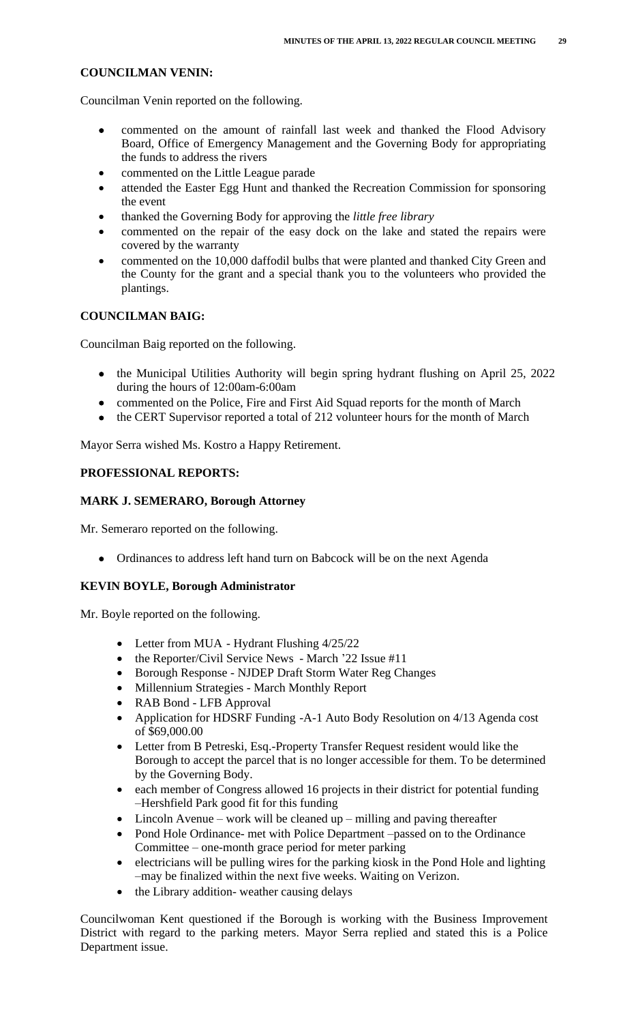# **COUNCILMAN VENIN:**

Councilman Venin reported on the following.

- commented on the amount of rainfall last week and thanked the Flood Advisory Board, Office of Emergency Management and the Governing Body for appropriating the funds to address the rivers
- commented on the Little League parade
- attended the Easter Egg Hunt and thanked the Recreation Commission for sponsoring the event
- thanked the Governing Body for approving the *little free library*
- commented on the repair of the easy dock on the lake and stated the repairs were covered by the warranty
- commented on the 10,000 daffodil bulbs that were planted and thanked City Green and the County for the grant and a special thank you to the volunteers who provided the plantings.

# **COUNCILMAN BAIG:**

Councilman Baig reported on the following.

- the Municipal Utilities Authority will begin spring hydrant flushing on April 25, 2022 during the hours of 12:00am-6:00am
- commented on the Police, Fire and First Aid Squad reports for the month of March
- the CERT Supervisor reported a total of 212 volunteer hours for the month of March

Mayor Serra wished Ms. Kostro a Happy Retirement.

## **PROFESSIONAL REPORTS:**

## **MARK J. SEMERARO, Borough Attorney**

Mr. Semeraro reported on the following.

• Ordinances to address left hand turn on Babcock will be on the next Agenda

## **KEVIN BOYLE, Borough Administrator**

Mr. Boyle reported on the following.

- Letter from MUA Hydrant Flushing 4/25/22
- the Reporter/Civil Service News March '22 Issue #11
- Borough Response NJDEP Draft Storm Water Reg Changes
- Millennium Strategies March Monthly Report
- RAB Bond LFB Approval
- Application for HDSRF Funding -A-1 Auto Body Resolution on 4/13 Agenda cost of \$69,000.00
- Letter from B Petreski, Esq.-Property Transfer Request resident would like the Borough to accept the parcel that is no longer accessible for them. To be determined by the Governing Body.
- each member of Congress allowed 16 projects in their district for potential funding –Hershfield Park good fit for this funding
- Lincoln Avenue work will be cleaned up milling and paving thereafter
- Pond Hole Ordinance- met with Police Department –passed on to the Ordinance Committee – one-month grace period for meter parking
- $\bullet$  electricians will be pulling wires for the parking kiosk in the Pond Hole and lighting –may be finalized within the next five weeks. Waiting on Verizon.
- the Library addition-weather causing delays

Councilwoman Kent questioned if the Borough is working with the Business Improvement District with regard to the parking meters. Mayor Serra replied and stated this is a Police Department issue.